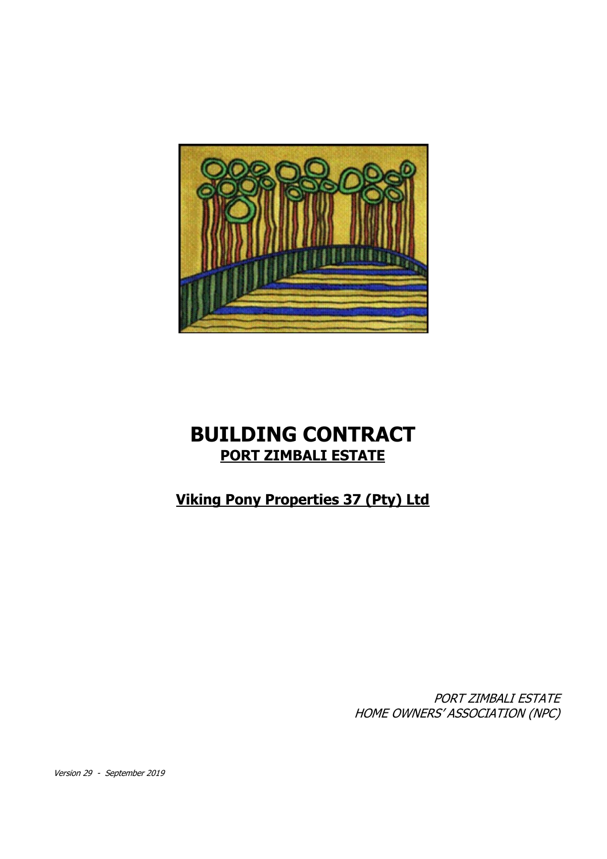

# **BUILDING CONTRACT PORT ZIMBALI ESTATE**

## **Viking Pony Properties 37 (Pty) Ltd**

PORT ZIMBALI ESTATE HOME OWNERS' ASSOCIATION (NPC)

Version 29 - September 2019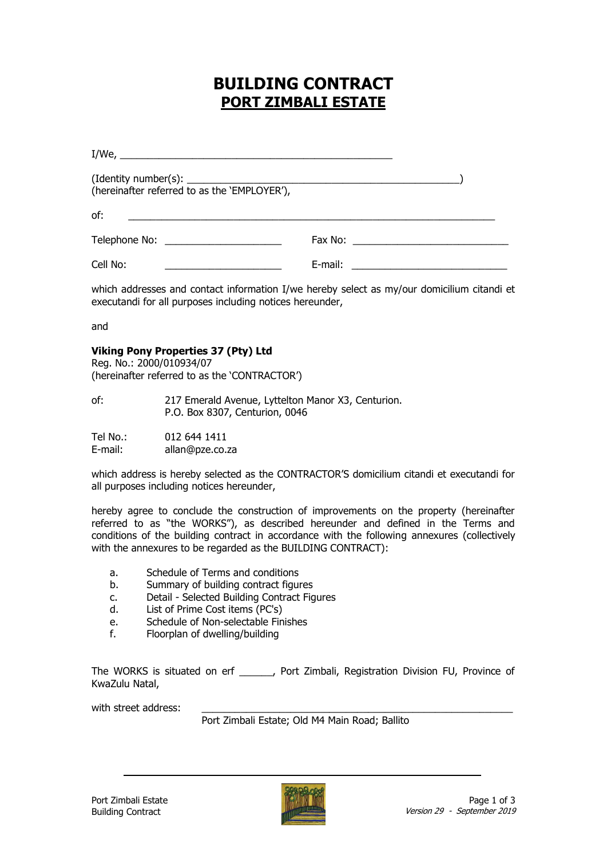## **BUILDING CONTRACT PORT ZIMBALI ESTATE**

| (hereinafter referred to as the 'EMPLOYER'),                                                                                |  |
|-----------------------------------------------------------------------------------------------------------------------------|--|
| of:<br><u> 1989 - Johann Stein, september 1989 - Johann Stein, september 1989 - Johann Stein, september 1989 - Johann S</u> |  |
|                                                                                                                             |  |
| Cell No:<br><u> 1989 - Andrea Station, amerikansk politiker (</u>                                                           |  |

which addresses and contact information I/we hereby select as my/our domicilium citandi et executandi for all purposes including notices hereunder,

and

#### **Viking Pony Properties 37 (Pty) Ltd**

Reg. No.: 2000/010934/07 (hereinafter referred to as the "CONTRACTOR")

| of: | 217 Emerald Avenue, Lyttelton Manor X3, Centurion. |
|-----|----------------------------------------------------|
|     | P.O. Box 8307, Centurion, 0046                     |

Tel No.: 012 644 1411 E-mail: allan@pze.co.za

which address is hereby selected as the CONTRACTOR"S domicilium citandi et executandi for all purposes including notices hereunder,

hereby agree to conclude the construction of improvements on the property (hereinafter referred to as "the WORKS"), as described hereunder and defined in the Terms and conditions of the building contract in accordance with the following annexures (collectively with the annexures to be regarded as the BUILDING CONTRACT):

- a. Schedule of Terms and conditions
- b. Summary of building contract figures
- c. Detail Selected Building Contract Figures
- d. List of Prime Cost items (PC's)
- e. Schedule of Non-selectable Finishes
- f. Floorplan of dwelling/building

The WORKS is situated on erf \_\_\_\_\_\_, Port Zimbali, Registration Division FU, Province of KwaZulu Natal,

with street address:

Port Zimbali Estate; Old M4 Main Road; Ballito

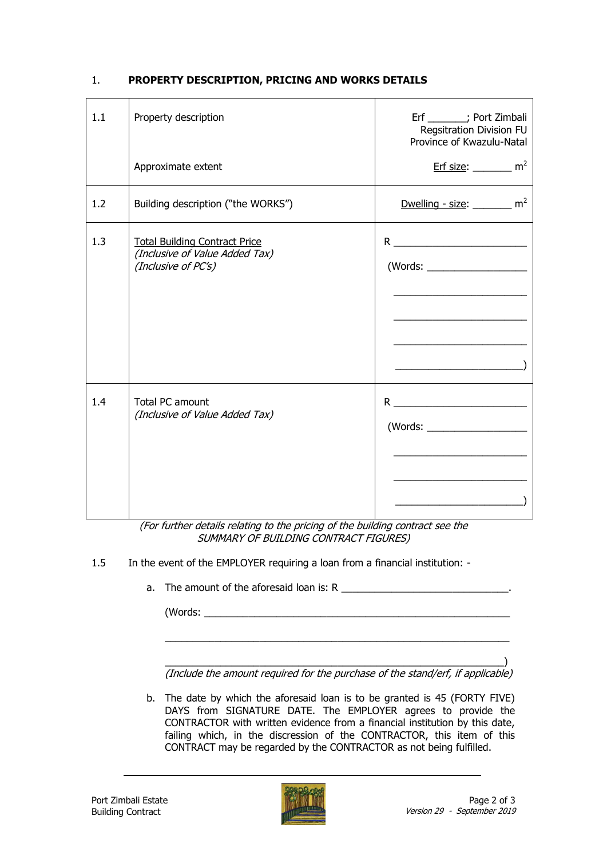#### 1. **PROPERTY DESCRIPTION, PRICING AND WORKS DETAILS**

| 1.1 | Property description                                                                          | Erf ______; Port Zimbali<br>Regsitration Division FU<br>Province of Kwazulu-Natal                                                                                                                                                                                                                                                                                                                                                                                                            |
|-----|-----------------------------------------------------------------------------------------------|----------------------------------------------------------------------------------------------------------------------------------------------------------------------------------------------------------------------------------------------------------------------------------------------------------------------------------------------------------------------------------------------------------------------------------------------------------------------------------------------|
|     | Approximate extent                                                                            | $Erf size:$ m <sup>2</sup>                                                                                                                                                                                                                                                                                                                                                                                                                                                                   |
| 1.2 | Building description ("the WORKS")                                                            | Dwelling - size: $\frac{m^2}{2}$                                                                                                                                                                                                                                                                                                                                                                                                                                                             |
| 1.3 | <b>Total Building Contract Price</b><br>(Inclusive of Value Added Tax)<br>(Inclusive of PC's) | $R \begin{tabular}{ c c c } \hline \multicolumn{3}{ c }{\textbf{R}} & \multicolumn{3}{ c }{\textbf{R}} \\ \hline \multicolumn{3}{ c }{\textbf{R}} & \multicolumn{3}{ c }{\textbf{R}} \\ \hline \multicolumn{3}{ c }{\textbf{R}} & \multicolumn{3}{ c }{\textbf{R}} \\ \hline \multicolumn{3}{ c }{\textbf{R}} & \multicolumn{3}{ c }{\textbf{R}} \\ \hline \multicolumn{3}{ c }{\textbf{R}} & \multicolumn{3}{ c }{\textbf{R}} \\ \hline \multicolumn{3}{$<br>(Words: ______________________ |
| 1.4 | Total PC amount<br>(Inclusive of Value Added Tax)                                             | $R \begin{tabular}{c} \multicolumn{2}{c} {\textbf{R}} \end{tabular}$                                                                                                                                                                                                                                                                                                                                                                                                                         |

(For further details relating to the pricing of the building contract see the SUMMARY OF BUILDING CONTRACT FIGURES)

- 1.5 In the event of the EMPLOYER requiring a loan from a financial institution:
	- a. The amount of the aforesaid loan is: R

(Words: \_\_\_\_\_\_\_\_\_\_\_\_\_\_\_\_\_\_\_\_\_\_\_\_\_\_\_\_\_\_\_\_\_\_\_\_\_\_\_\_\_\_\_\_\_\_\_\_\_\_\_\_\_\_\_

\_\_\_\_\_\_\_\_\_\_\_\_\_\_\_\_\_\_\_\_\_\_\_\_\_\_\_\_\_\_\_\_\_\_\_\_\_\_\_\_\_\_\_\_\_\_\_\_\_\_\_\_\_\_\_\_\_\_\_\_\_) (Include the amount required for the purchase of the stand/erf, if applicable)

 $\_$  , and the set of the set of the set of the set of the set of the set of the set of the set of the set of the set of the set of the set of the set of the set of the set of the set of the set of the set of the set of th

b. The date by which the aforesaid loan is to be granted is 45 (FORTY FIVE) DAYS from SIGNATURE DATE. The EMPLOYER agrees to provide the CONTRACTOR with written evidence from a financial institution by this date, failing which, in the discression of the CONTRACTOR, this item of this CONTRACT may be regarded by the CONTRACTOR as not being fulfilled.

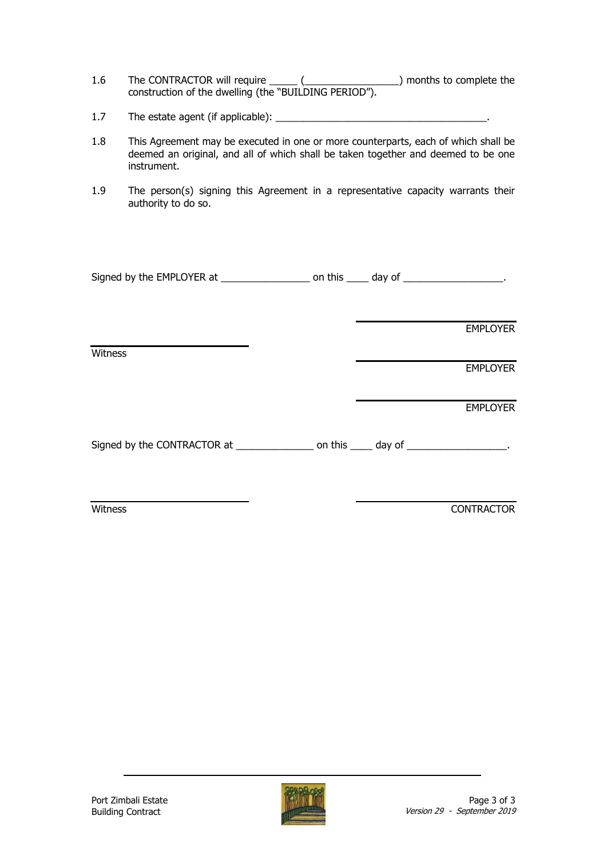- 1.6 The CONTRACTOR will require \_\_\_\_\_\_ (\_\_\_\_\_\_\_\_\_\_\_\_\_\_\_\_\_\_\_\_\_) months to complete the construction of the dwelling (the "BUILDING PERIOD").
- 1.7 The estate agent (if applicable): \_\_\_\_\_\_\_\_\_\_\_\_\_\_\_\_\_\_\_\_\_\_\_\_\_\_\_\_\_\_\_\_\_\_\_\_\_\_.
- 1.8 This Agreement may be executed in one or more counterparts, each of which shall be deemed an original, and all of which shall be taken together and deemed to be one instrument.
- 1.9 The person(s) signing this Agreement in a representative capacity warrants their authority to do so.

| Signed by the EMPLOYER at | on this | dav of |  |
|---------------------------|---------|--------|--|
|---------------------------|---------|--------|--|

EMPLOYER

**EMPLOYER** 

EMPLOYER

|  | Signed by the CONTRACTOR at | on this | day of |  |
|--|-----------------------------|---------|--------|--|
|--|-----------------------------|---------|--------|--|

**Witness** 

Witness CONTRACTOR

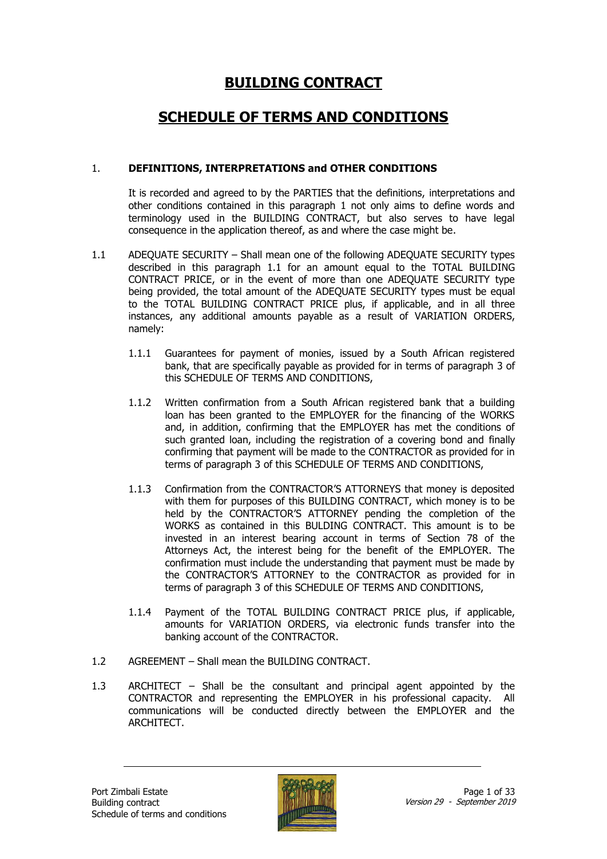## **BUILDING CONTRACT**

### **SCHEDULE OF TERMS AND CONDITIONS**

#### 1. **DEFINITIONS, INTERPRETATIONS and OTHER CONDITIONS**

It is recorded and agreed to by the PARTIES that the definitions, interpretations and other conditions contained in this paragraph 1 not only aims to define words and terminology used in the BUILDING CONTRACT, but also serves to have legal consequence in the application thereof, as and where the case might be.

- 1.1 ADEQUATE SECURITY Shall mean one of the following ADEQUATE SECURITY types described in this paragraph 1.1 for an amount equal to the TOTAL BUILDING CONTRACT PRICE, or in the event of more than one ADEQUATE SECURITY type being provided, the total amount of the ADEQUATE SECURITY types must be equal to the TOTAL BUILDING CONTRACT PRICE plus, if applicable, and in all three instances, any additional amounts payable as a result of VARIATION ORDERS, namely:
	- 1.1.1 Guarantees for payment of monies, issued by a South African registered bank, that are specifically payable as provided for in terms of paragraph 3 of this SCHEDULE OF TERMS AND CONDITIONS,
	- 1.1.2 Written confirmation from a South African registered bank that a building loan has been granted to the EMPLOYER for the financing of the WORKS and, in addition, confirming that the EMPLOYER has met the conditions of such granted loan, including the registration of a covering bond and finally confirming that payment will be made to the CONTRACTOR as provided for in terms of paragraph 3 of this SCHEDULE OF TERMS AND CONDITIONS,
	- 1.1.3 Confirmation from the CONTRACTOR'S ATTORNEYS that money is deposited with them for purposes of this BUILDING CONTRACT, which money is to be held by the CONTRACTOR'S ATTORNEY pending the completion of the WORKS as contained in this BULDING CONTRACT. This amount is to be invested in an interest bearing account in terms of Section 78 of the Attorneys Act, the interest being for the benefit of the EMPLOYER. The confirmation must include the understanding that payment must be made by the CONTRACTOR'S ATTORNEY to the CONTRACTOR as provided for in terms of paragraph 3 of this SCHEDULE OF TERMS AND CONDITIONS,
	- 1.1.4 Payment of the TOTAL BUILDING CONTRACT PRICE plus, if applicable, amounts for VARIATION ORDERS, via electronic funds transfer into the banking account of the CONTRACTOR.
- 1.2 AGREEMENT Shall mean the BUILDING CONTRACT.
- 1.3 ARCHITECT Shall be the consultant and principal agent appointed by the CONTRACTOR and representing the EMPLOYER in his professional capacity. All communications will be conducted directly between the EMPLOYER and the ARCHITECT.

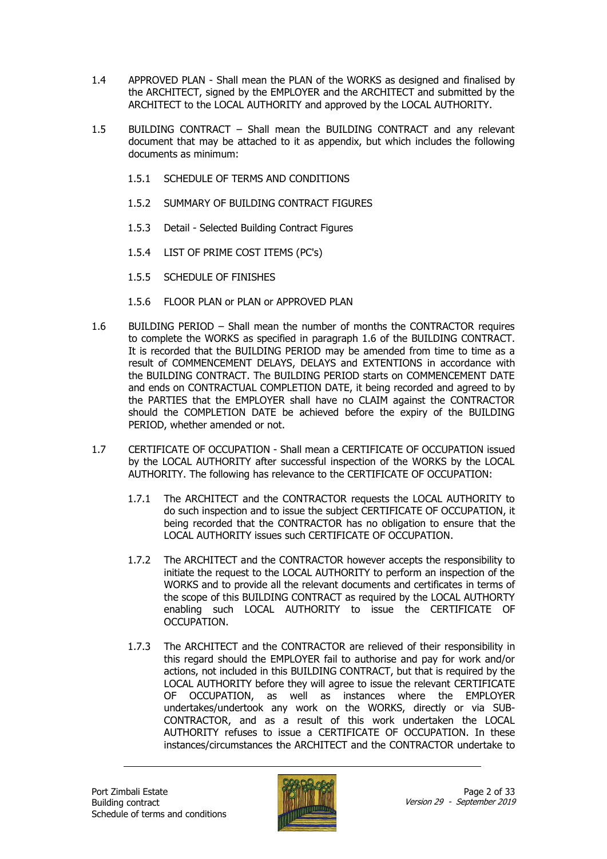- 1.4 APPROVED PLAN Shall mean the PLAN of the WORKS as designed and finalised by the ARCHITECT, signed by the EMPLOYER and the ARCHITECT and submitted by the ARCHITECT to the LOCAL AUTHORITY and approved by the LOCAL AUTHORITY.
- 1.5 BUILDING CONTRACT Shall mean the BUILDING CONTRACT and any relevant document that may be attached to it as appendix, but which includes the following documents as minimum:
	- 1.5.1 SCHEDULE OF TERMS AND CONDITIONS
	- 1.5.2 SUMMARY OF BUILDING CONTRACT FIGURES
	- 1.5.3 Detail Selected Building Contract Figures
	- 1.5.4 LIST OF PRIME COST ITEMS (PC's)
	- 1.5.5 SCHEDULE OF FINISHES
	- 1.5.6 FLOOR PLAN or PLAN or APPROVED PLAN
- 1.6 BUILDING PERIOD Shall mean the number of months the CONTRACTOR requires to complete the WORKS as specified in paragraph 1.6 of the BUILDING CONTRACT. It is recorded that the BUILDING PERIOD may be amended from time to time as a result of COMMENCEMENT DELAYS, DELAYS and EXTENTIONS in accordance with the BUILDING CONTRACT. The BUILDING PERIOD starts on COMMENCEMENT DATE and ends on CONTRACTUAL COMPLETION DATE, it being recorded and agreed to by the PARTIES that the EMPLOYER shall have no CLAIM against the CONTRACTOR should the COMPLETION DATE be achieved before the expiry of the BUILDING PERIOD, whether amended or not.
- 1.7 CERTIFICATE OF OCCUPATION Shall mean a CERTIFICATE OF OCCUPATION issued by the LOCAL AUTHORITY after successful inspection of the WORKS by the LOCAL AUTHORITY. The following has relevance to the CERTIFICATE OF OCCUPATION:
	- 1.7.1 The ARCHITECT and the CONTRACTOR requests the LOCAL AUTHORITY to do such inspection and to issue the subject CERTIFICATE OF OCCUPATION, it being recorded that the CONTRACTOR has no obligation to ensure that the LOCAL AUTHORITY issues such CERTIFICATE OF OCCUPATION.
	- 1.7.2 The ARCHITECT and the CONTRACTOR however accepts the responsibility to initiate the request to the LOCAL AUTHORITY to perform an inspection of the WORKS and to provide all the relevant documents and certificates in terms of the scope of this BUILDING CONTRACT as required by the LOCAL AUTHORTY enabling such LOCAL AUTHORITY to issue the CERTIFICATE OF OCCUPATION.
	- 1.7.3 The ARCHITECT and the CONTRACTOR are relieved of their responsibility in this regard should the EMPLOYER fail to authorise and pay for work and/or actions, not included in this BUILDING CONTRACT, but that is required by the LOCAL AUTHORITY before they will agree to issue the relevant CERTIFICATE OF OCCUPATION, as well as instances where the EMPLOYER undertakes/undertook any work on the WORKS, directly or via SUB-CONTRACTOR, and as a result of this work undertaken the LOCAL AUTHORITY refuses to issue a CERTIFICATE OF OCCUPATION. In these instances/circumstances the ARCHITECT and the CONTRACTOR undertake to

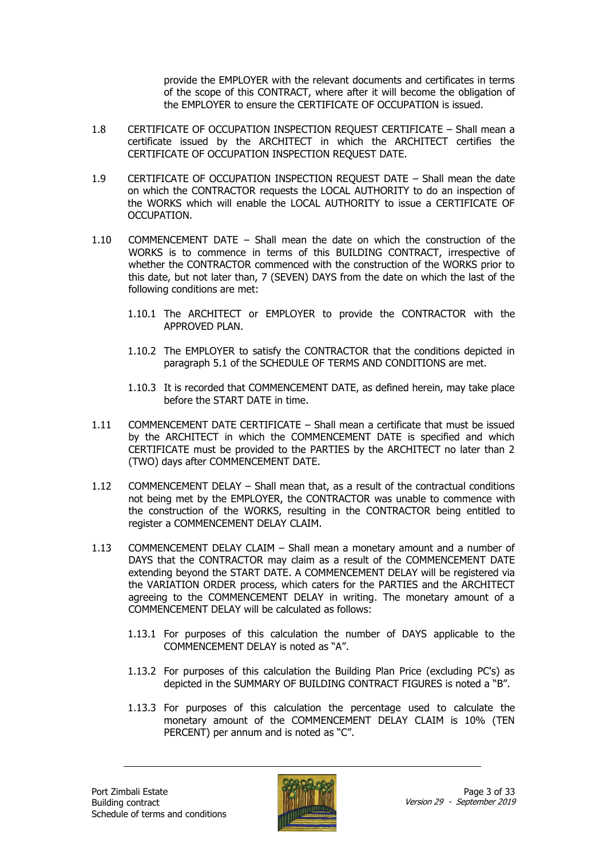provide the EMPLOYER with the relevant documents and certificates in terms of the scope of this CONTRACT, where after it will become the obligation of the EMPLOYER to ensure the CERTIFICATE OF OCCUPATION is issued.

- 1.8 CERTIFICATE OF OCCUPATION INSPECTION REQUEST CERTIFICATE Shall mean a certificate issued by the ARCHITECT in which the ARCHITECT certifies the CERTIFICATE OF OCCUPATION INSPECTION REQUEST DATE.
- 1.9 CERTIFICATE OF OCCUPATION INSPECTION REQUEST DATE Shall mean the date on which the CONTRACTOR requests the LOCAL AUTHORITY to do an inspection of the WORKS which will enable the LOCAL AUTHORITY to issue a CERTIFICATE OF OCCUPATION.
- 1.10 COMMENCEMENT DATE Shall mean the date on which the construction of the WORKS is to commence in terms of this BUILDING CONTRACT, irrespective of whether the CONTRACTOR commenced with the construction of the WORKS prior to this date, but not later than, 7 (SEVEN) DAYS from the date on which the last of the following conditions are met:
	- 1.10.1 The ARCHITECT or EMPLOYER to provide the CONTRACTOR with the APPROVED PLAN.
	- 1.10.2 The EMPLOYER to satisfy the CONTRACTOR that the conditions depicted in paragraph 5.1 of the SCHEDULE OF TERMS AND CONDITIONS are met.
	- 1.10.3 It is recorded that COMMENCEMENT DATE, as defined herein, may take place before the START DATE in time.
- 1.11 COMMENCEMENT DATE CERTIFICATE Shall mean a certificate that must be issued by the ARCHITECT in which the COMMENCEMENT DATE is specified and which CERTIFICATE must be provided to the PARTIES by the ARCHITECT no later than 2 (TWO) days after COMMENCEMENT DATE.
- 1.12 COMMENCEMENT DELAY Shall mean that, as a result of the contractual conditions not being met by the EMPLOYER, the CONTRACTOR was unable to commence with the construction of the WORKS, resulting in the CONTRACTOR being entitled to register a COMMENCEMENT DELAY CLAIM.
- 1.13 COMMENCEMENT DELAY CLAIM Shall mean a monetary amount and a number of DAYS that the CONTRACTOR may claim as a result of the COMMENCEMENT DATE extending beyond the START DATE. A COMMENCEMENT DELAY will be registered via the VARIATION ORDER process, which caters for the PARTIES and the ARCHITECT agreeing to the COMMENCEMENT DELAY in writing. The monetary amount of a COMMENCEMENT DELAY will be calculated as follows:
	- 1.13.1 For purposes of this calculation the number of DAYS applicable to the COMMENCEMENT DELAY is noted as "A".
	- 1.13.2 For purposes of this calculation the Building Plan Price (excluding PC's) as depicted in the SUMMARY OF BUILDING CONTRACT FIGURES is noted a "B".
	- 1.13.3 For purposes of this calculation the percentage used to calculate the monetary amount of the COMMENCEMENT DELAY CLAIM is 10% (TEN PERCENT) per annum and is noted as "C".

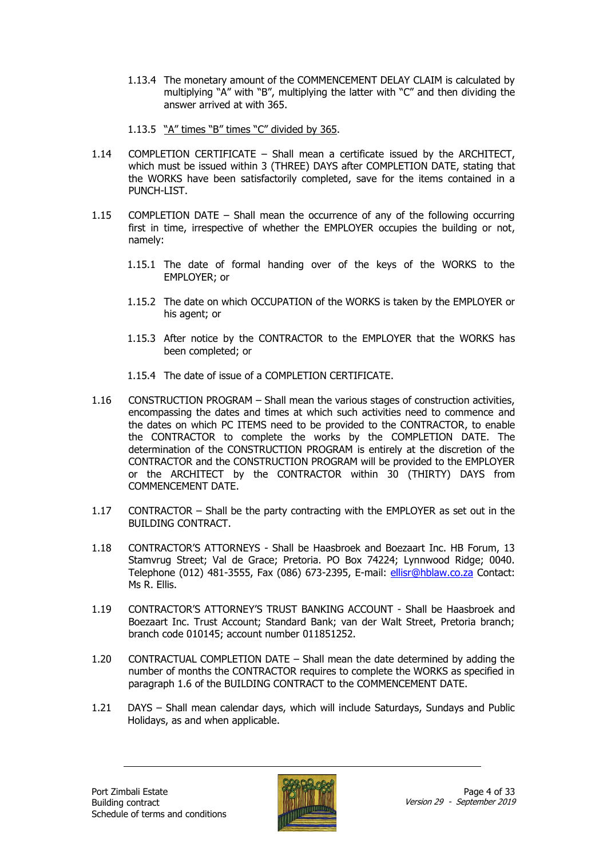- 1.13.4 The monetary amount of the COMMENCEMENT DELAY CLAIM is calculated by multiplying "A" with "B", multiplying the latter with "C" and then dividing the answer arrived at with 365.
- 1.13.5 "A" times "B" times "C" divided by 365.
- 1.14 COMPLETION CERTIFICATE Shall mean a certificate issued by the ARCHITECT, which must be issued within 3 (THREE) DAYS after COMPLETION DATE, stating that the WORKS have been satisfactorily completed, save for the items contained in a PUNCH-LIST.
- 1.15 COMPLETION DATE Shall mean the occurrence of any of the following occurring first in time, irrespective of whether the EMPLOYER occupies the building or not, namely:
	- 1.15.1 The date of formal handing over of the keys of the WORKS to the EMPLOYER; or
	- 1.15.2 The date on which OCCUPATION of the WORKS is taken by the EMPLOYER or his agent; or
	- 1.15.3 After notice by the CONTRACTOR to the EMPLOYER that the WORKS has been completed; or
	- 1.15.4 The date of issue of a COMPLETION CERTIFICATE.
- 1.16 CONSTRUCTION PROGRAM Shall mean the various stages of construction activities, encompassing the dates and times at which such activities need to commence and the dates on which PC ITEMS need to be provided to the CONTRACTOR, to enable the CONTRACTOR to complete the works by the COMPLETION DATE. The determination of the CONSTRUCTION PROGRAM is entirely at the discretion of the CONTRACTOR and the CONSTRUCTION PROGRAM will be provided to the EMPLOYER or the ARCHITECT by the CONTRACTOR within 30 (THIRTY) DAYS from COMMENCEMENT DATE.
- 1.17 CONTRACTOR Shall be the party contracting with the EMPLOYER as set out in the BUILDING CONTRACT.
- 1.18 CONTRACTOR'S ATTORNEYS Shall be Haasbroek and Boezaart Inc. HB Forum, 13 Stamvrug Street; Val de Grace; Pretoria. PO Box 74224; Lynnwood Ridge; 0040. Telephone (012) 481-3555, Fax (086) 673-2395, E-mail: [ellisr@hblaw.co.za](mailto:ellisr@hblaw.co.za) Contact: Ms R. Ellis.
- 1.19 CONTRACTOR'S ATTORNEY'S TRUST BANKING ACCOUNT Shall be Haasbroek and Boezaart Inc. Trust Account; Standard Bank; van der Walt Street, Pretoria branch; branch code 010145; account number 011851252.
- 1.20 CONTRACTUAL COMPLETION DATE Shall mean the date determined by adding the number of months the CONTRACTOR requires to complete the WORKS as specified in paragraph 1.6 of the BUILDING CONTRACT to the COMMENCEMENT DATE.
- 1.21 DAYS Shall mean calendar days, which will include Saturdays, Sundays and Public Holidays, as and when applicable.

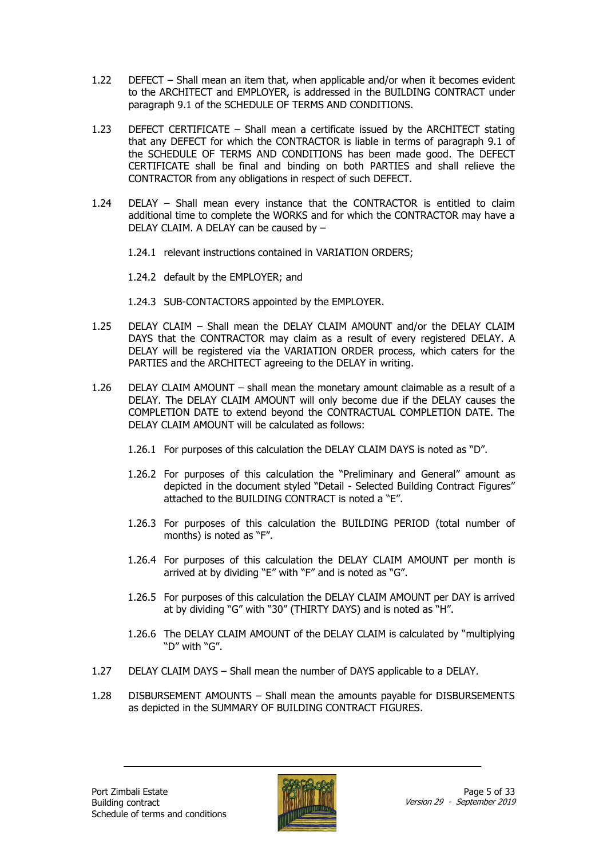- 1.22 DEFECT Shall mean an item that, when applicable and/or when it becomes evident to the ARCHITECT and EMPLOYER, is addressed in the BUILDING CONTRACT under paragraph 9.1 of the SCHEDULE OF TERMS AND CONDITIONS.
- 1.23 DEFECT CERTIFICATE Shall mean a certificate issued by the ARCHITECT stating that any DEFECT for which the CONTRACTOR is liable in terms of paragraph 9.1 of the SCHEDULE OF TERMS AND CONDITIONS has been made good. The DEFECT CERTIFICATE shall be final and binding on both PARTIES and shall relieve the CONTRACTOR from any obligations in respect of such DEFECT.
- 1.24 DELAY Shall mean every instance that the CONTRACTOR is entitled to claim additional time to complete the WORKS and for which the CONTRACTOR may have a DELAY CLAIM. A DELAY can be caused by –
	- 1.24.1 relevant instructions contained in VARIATION ORDERS;
	- 1.24.2 default by the EMPLOYER; and
	- 1.24.3 SUB-CONTACTORS appointed by the EMPLOYER.
- 1.25 DELAY CLAIM Shall mean the DELAY CLAIM AMOUNT and/or the DELAY CLAIM DAYS that the CONTRACTOR may claim as a result of every registered DELAY. A DELAY will be registered via the VARIATION ORDER process, which caters for the PARTIES and the ARCHITECT agreeing to the DELAY in writing.
- 1.26 DELAY CLAIM AMOUNT shall mean the monetary amount claimable as a result of a DELAY. The DELAY CLAIM AMOUNT will only become due if the DELAY causes the COMPLETION DATE to extend beyond the CONTRACTUAL COMPLETION DATE. The DELAY CLAIM AMOUNT will be calculated as follows:
	- 1.26.1 For purposes of this calculation the DELAY CLAIM DAYS is noted as "D".
	- 1.26.2 For purposes of this calculation the "Preliminary and General" amount as depicted in the document styled "Detail - Selected Building Contract Figures" attached to the BUILDING CONTRACT is noted a "E".
	- 1.26.3 For purposes of this calculation the BUILDING PERIOD (total number of months) is noted as "F".
	- 1.26.4 For purposes of this calculation the DELAY CLAIM AMOUNT per month is arrived at by dividing "E" with "F" and is noted as "G".
	- 1.26.5 For purposes of this calculation the DELAY CLAIM AMOUNT per DAY is arrived at by dividing "G" with "30" (THIRTY DAYS) and is noted as "H".
	- 1.26.6 The DELAY CLAIM AMOUNT of the DELAY CLAIM is calculated by "multiplying "D" with "G".
- 1.27 DELAY CLAIM DAYS Shall mean the number of DAYS applicable to a DELAY.
- 1.28 DISBURSEMENT AMOUNTS Shall mean the amounts payable for DISBURSEMENTS as depicted in the SUMMARY OF BUILDING CONTRACT FIGURES.

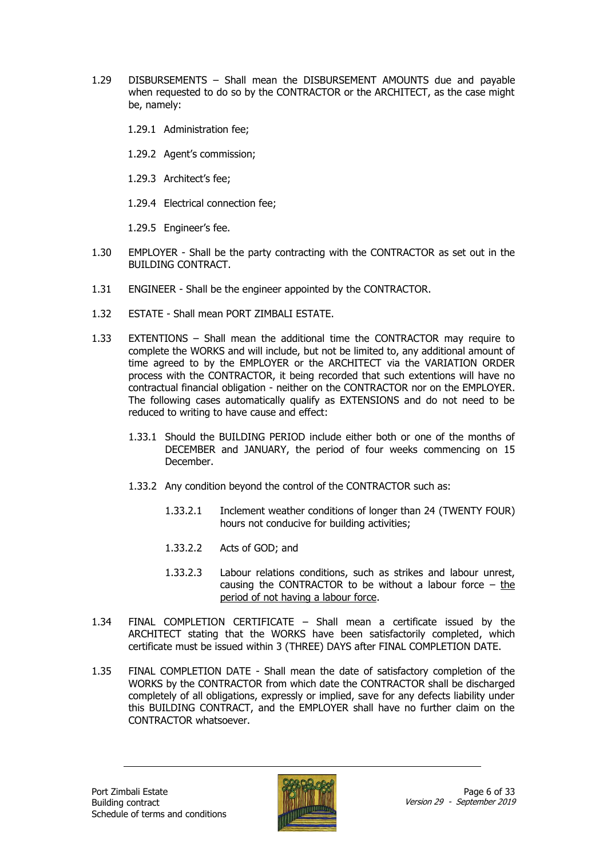- 1.29 DISBURSEMENTS Shall mean the DISBURSEMENT AMOUNTS due and payable when requested to do so by the CONTRACTOR or the ARCHITECT, as the case might be, namely:
	- 1.29.1 Administration fee;
	- 1.29.2 Agent's commission;
	- 1.29.3 Architect's fee;
	- 1.29.4 Electrical connection fee;
	- 1.29.5 Engineer's fee.
- 1.30 EMPLOYER Shall be the party contracting with the CONTRACTOR as set out in the BUILDING CONTRACT.
- 1.31 ENGINEER Shall be the engineer appointed by the CONTRACTOR.
- 1.32 ESTATE Shall mean PORT ZIMBALI ESTATE.
- 1.33 EXTENTIONS Shall mean the additional time the CONTRACTOR may require to complete the WORKS and will include, but not be limited to, any additional amount of time agreed to by the EMPLOYER or the ARCHITECT via the VARIATION ORDER process with the CONTRACTOR, it being recorded that such extentions will have no contractual financial obligation - neither on the CONTRACTOR nor on the EMPLOYER. The following cases automatically qualify as EXTENSIONS and do not need to be reduced to writing to have cause and effect:
	- 1.33.1 Should the BUILDING PERIOD include either both or one of the months of DECEMBER and JANUARY, the period of four weeks commencing on 15 December.
	- 1.33.2 Any condition beyond the control of the CONTRACTOR such as:
		- 1.33.2.1 Inclement weather conditions of longer than 24 (TWENTY FOUR) hours not conducive for building activities;
		- 1.33.2.2 Acts of GOD; and
		- 1.33.2.3 Labour relations conditions, such as strikes and labour unrest, causing the CONTRACTOR to be without a labour force  $-$  the period of not having a labour force.
- 1.34 FINAL COMPLETION CERTIFICATE Shall mean a certificate issued by the ARCHITECT stating that the WORKS have been satisfactorily completed, which certificate must be issued within 3 (THREE) DAYS after FINAL COMPLETION DATE.
- 1.35 FINAL COMPLETION DATE Shall mean the date of satisfactory completion of the WORKS by the CONTRACTOR from which date the CONTRACTOR shall be discharged completely of all obligations, expressly or implied, save for any defects liability under this BUILDING CONTRACT, and the EMPLOYER shall have no further claim on the CONTRACTOR whatsoever.

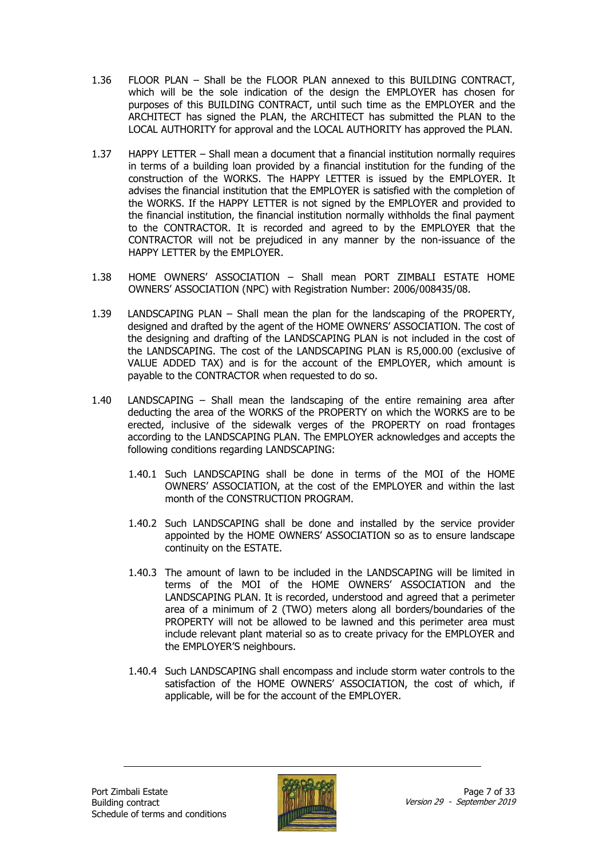- 1.36 FLOOR PLAN Shall be the FLOOR PLAN annexed to this BUILDING CONTRACT, which will be the sole indication of the design the EMPLOYER has chosen for purposes of this BUILDING CONTRACT, until such time as the EMPLOYER and the ARCHITECT has signed the PLAN, the ARCHITECT has submitted the PLAN to the LOCAL AUTHORITY for approval and the LOCAL AUTHORITY has approved the PLAN.
- 1.37 HAPPY LETTER Shall mean a document that a financial institution normally requires in terms of a building loan provided by a financial institution for the funding of the construction of the WORKS. The HAPPY LETTER is issued by the EMPLOYER. It advises the financial institution that the EMPLOYER is satisfied with the completion of the WORKS. If the HAPPY LETTER is not signed by the EMPLOYER and provided to the financial institution, the financial institution normally withholds the final payment to the CONTRACTOR. It is recorded and agreed to by the EMPLOYER that the CONTRACTOR will not be prejudiced in any manner by the non-issuance of the HAPPY LETTER by the EMPLOYER.
- 1.38 HOME OWNERS' ASSOCIATION Shall mean PORT ZIMBALI ESTATE HOME OWNERS' ASSOCIATION (NPC) with Registration Number: 2006/008435/08.
- 1.39 LANDSCAPING PLAN Shall mean the plan for the landscaping of the PROPERTY, designed and drafted by the agent of the HOME OWNERS' ASSOCIATION. The cost of the designing and drafting of the LANDSCAPING PLAN is not included in the cost of the LANDSCAPING. The cost of the LANDSCAPING PLAN is R5,000.00 (exclusive of VALUE ADDED TAX) and is for the account of the EMPLOYER, which amount is payable to the CONTRACTOR when requested to do so.
- 1.40 LANDSCAPING Shall mean the landscaping of the entire remaining area after deducting the area of the WORKS of the PROPERTY on which the WORKS are to be erected, inclusive of the sidewalk verges of the PROPERTY on road frontages according to the LANDSCAPING PLAN. The EMPLOYER acknowledges and accepts the following conditions regarding LANDSCAPING:
	- 1.40.1 Such LANDSCAPING shall be done in terms of the MOI of the HOME OWNERS' ASSOCIATION, at the cost of the EMPLOYER and within the last month of the CONSTRUCTION PROGRAM.
	- 1.40.2 Such LANDSCAPING shall be done and installed by the service provider appointed by the HOME OWNERS' ASSOCIATION so as to ensure landscape continuity on the ESTATE.
	- 1.40.3 The amount of lawn to be included in the LANDSCAPING will be limited in terms of the MOI of the HOME OWNERS' ASSOCIATION and the LANDSCAPING PLAN. It is recorded, understood and agreed that a perimeter area of a minimum of 2 (TWO) meters along all borders/boundaries of the PROPERTY will not be allowed to be lawned and this perimeter area must include relevant plant material so as to create privacy for the EMPLOYER and the EMPLOYER'S neighbours.
	- 1.40.4 Such LANDSCAPING shall encompass and include storm water controls to the satisfaction of the HOME OWNERS' ASSOCIATION, the cost of which, if applicable, will be for the account of the EMPLOYER.

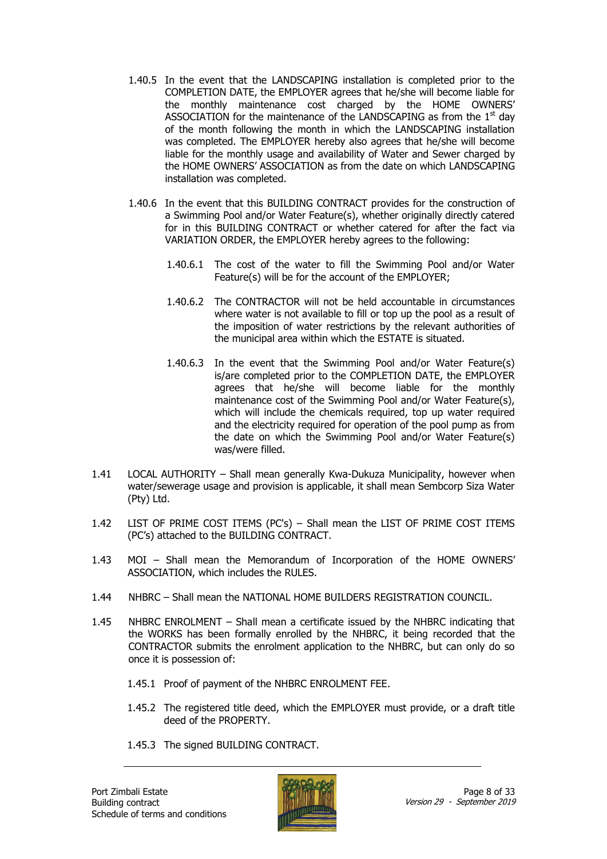- 1.40.5 In the event that the LANDSCAPING installation is completed prior to the COMPLETION DATE, the EMPLOYER agrees that he/she will become liable for the monthly maintenance cost charged by the HOME OWNERS' ASSOCIATION for the maintenance of the LANDSCAPING as from the  $1<sup>st</sup>$  day of the month following the month in which the LANDSCAPING installation was completed. The EMPLOYER hereby also agrees that he/she will become liable for the monthly usage and availability of Water and Sewer charged by the HOME OWNERS' ASSOCIATION as from the date on which LANDSCAPING installation was completed.
- 1.40.6 In the event that this BUILDING CONTRACT provides for the construction of a Swimming Pool and/or Water Feature(s), whether originally directly catered for in this BUILDING CONTRACT or whether catered for after the fact via VARIATION ORDER, the EMPLOYER hereby agrees to the following:
	- 1.40.6.1 The cost of the water to fill the Swimming Pool and/or Water Feature(s) will be for the account of the EMPLOYER;
	- 1.40.6.2 The CONTRACTOR will not be held accountable in circumstances where water is not available to fill or top up the pool as a result of the imposition of water restrictions by the relevant authorities of the municipal area within which the ESTATE is situated.
	- 1.40.6.3 In the event that the Swimming Pool and/or Water Feature(s) is/are completed prior to the COMPLETION DATE, the EMPLOYER agrees that he/she will become liable for the monthly maintenance cost of the Swimming Pool and/or Water Feature(s), which will include the chemicals required, top up water required and the electricity required for operation of the pool pump as from the date on which the Swimming Pool and/or Water Feature(s) was/were filled.
- 1.41 LOCAL AUTHORITY Shall mean generally Kwa-Dukuza Municipality, however when water/sewerage usage and provision is applicable, it shall mean Sembcorp Siza Water (Pty) Ltd.
- 1.42 LIST OF PRIME COST ITEMS (PC's) Shall mean the LIST OF PRIME COST ITEMS (PC's) attached to the BUILDING CONTRACT.
- 1.43 MOI Shall mean the Memorandum of Incorporation of the HOME OWNERS' ASSOCIATION, which includes the RULES.
- 1.44 NHBRC Shall mean the NATIONAL HOME BUILDERS REGISTRATION COUNCIL.
- 1.45 NHBRC ENROLMENT Shall mean a certificate issued by the NHBRC indicating that the WORKS has been formally enrolled by the NHBRC, it being recorded that the CONTRACTOR submits the enrolment application to the NHBRC, but can only do so once it is possession of:
	- 1.45.1 Proof of payment of the NHBRC ENROLMENT FEE.
	- 1.45.2 The registered title deed, which the EMPLOYER must provide, or a draft title deed of the PROPERTY.
	- 1.45.3 The signed BUILDING CONTRACT.

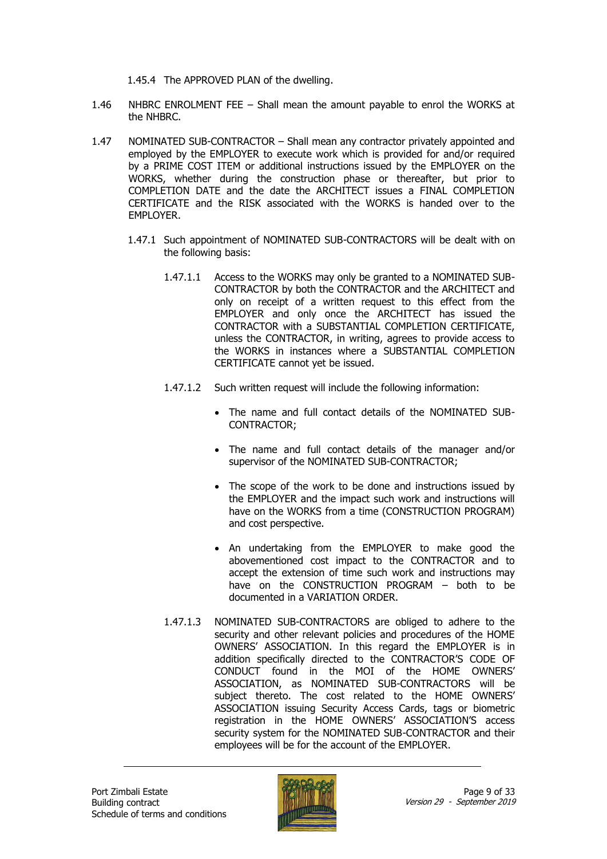1.45.4 The APPROVED PLAN of the dwelling.

- 1.46 NHBRC ENROLMENT FEE Shall mean the amount payable to enrol the WORKS at the NHBRC.
- 1.47 NOMINATED SUB-CONTRACTOR Shall mean any contractor privately appointed and employed by the EMPLOYER to execute work which is provided for and/or required by a PRIME COST ITEM or additional instructions issued by the EMPLOYER on the WORKS, whether during the construction phase or thereafter, but prior to COMPLETION DATE and the date the ARCHITECT issues a FINAL COMPLETION CERTIFICATE and the RISK associated with the WORKS is handed over to the EMPLOYER.
	- 1.47.1 Such appointment of NOMINATED SUB-CONTRACTORS will be dealt with on the following basis:
		- 1.47.1.1 Access to the WORKS may only be granted to a NOMINATED SUB-CONTRACTOR by both the CONTRACTOR and the ARCHITECT and only on receipt of a written request to this effect from the EMPLOYER and only once the ARCHITECT has issued the CONTRACTOR with a SUBSTANTIAL COMPLETION CERTIFICATE, unless the CONTRACTOR, in writing, agrees to provide access to the WORKS in instances where a SUBSTANTIAL COMPLETION CERTIFICATE cannot yet be issued.
		- 1.47.1.2 Such written request will include the following information:
			- The name and full contact details of the NOMINATED SUB-CONTRACTOR;
			- The name and full contact details of the manager and/or supervisor of the NOMINATED SUB-CONTRACTOR;
			- The scope of the work to be done and instructions issued by the EMPLOYER and the impact such work and instructions will have on the WORKS from a time (CONSTRUCTION PROGRAM) and cost perspective.
			- An undertaking from the EMPLOYER to make good the abovementioned cost impact to the CONTRACTOR and to accept the extension of time such work and instructions may have on the CONSTRUCTION PROGRAM – both to be documented in a VARIATION ORDER.
		- 1.47.1.3 NOMINATED SUB-CONTRACTORS are obliged to adhere to the security and other relevant policies and procedures of the HOME OWNERS' ASSOCIATION. In this regard the EMPLOYER is in addition specifically directed to the CONTRACTOR'S CODE OF CONDUCT found in the MOI of the HOME OWNERS' ASSOCIATION, as NOMINATED SUB-CONTRACTORS will be subject thereto. The cost related to the HOME OWNERS' ASSOCIATION issuing Security Access Cards, tags or biometric registration in the HOME OWNERS' ASSOCIATION'S access security system for the NOMINATED SUB-CONTRACTOR and their employees will be for the account of the EMPLOYER.

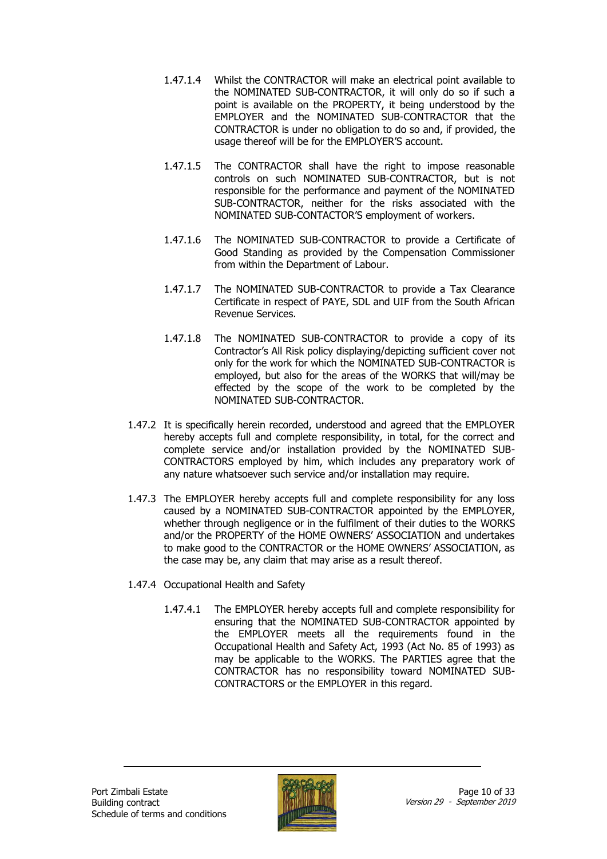- 1.47.1.4 Whilst the CONTRACTOR will make an electrical point available to the NOMINATED SUB-CONTRACTOR, it will only do so if such a point is available on the PROPERTY, it being understood by the EMPLOYER and the NOMINATED SUB-CONTRACTOR that the CONTRACTOR is under no obligation to do so and, if provided, the usage thereof will be for the EMPLOYER'S account.
- 1.47.1.5 The CONTRACTOR shall have the right to impose reasonable controls on such NOMINATED SUB-CONTRACTOR, but is not responsible for the performance and payment of the NOMINATED SUB-CONTRACTOR, neither for the risks associated with the NOMINATED SUB-CONTACTOR'S employment of workers.
- 1.47.1.6 The NOMINATED SUB-CONTRACTOR to provide a Certificate of Good Standing as provided by the Compensation Commissioner from within the Department of Labour.
- 1.47.1.7 The NOMINATED SUB-CONTRACTOR to provide a Tax Clearance Certificate in respect of PAYE, SDL and UIF from the South African Revenue Services.
- 1.47.1.8 The NOMINATED SUB-CONTRACTOR to provide a copy of its Contractor's All Risk policy displaying/depicting sufficient cover not only for the work for which the NOMINATED SUB-CONTRACTOR is employed, but also for the areas of the WORKS that will/may be effected by the scope of the work to be completed by the NOMINATED SUB-CONTRACTOR.
- 1.47.2 It is specifically herein recorded, understood and agreed that the EMPLOYER hereby accepts full and complete responsibility, in total, for the correct and complete service and/or installation provided by the NOMINATED SUB-CONTRACTORS employed by him, which includes any preparatory work of any nature whatsoever such service and/or installation may require.
- 1.47.3 The EMPLOYER hereby accepts full and complete responsibility for any loss caused by a NOMINATED SUB-CONTRACTOR appointed by the EMPLOYER, whether through negligence or in the fulfilment of their duties to the WORKS and/or the PROPERTY of the HOME OWNERS' ASSOCIATION and undertakes to make good to the CONTRACTOR or the HOME OWNERS' ASSOCIATION, as the case may be, any claim that may arise as a result thereof.
- 1.47.4 Occupational Health and Safety
	- 1.47.4.1 The EMPLOYER hereby accepts full and complete responsibility for ensuring that the NOMINATED SUB-CONTRACTOR appointed by the EMPLOYER meets all the requirements found in the Occupational Health and Safety Act, 1993 (Act No. 85 of 1993) as may be applicable to the WORKS. The PARTIES agree that the CONTRACTOR has no responsibility toward NOMINATED SUB-CONTRACTORS or the EMPLOYER in this regard.

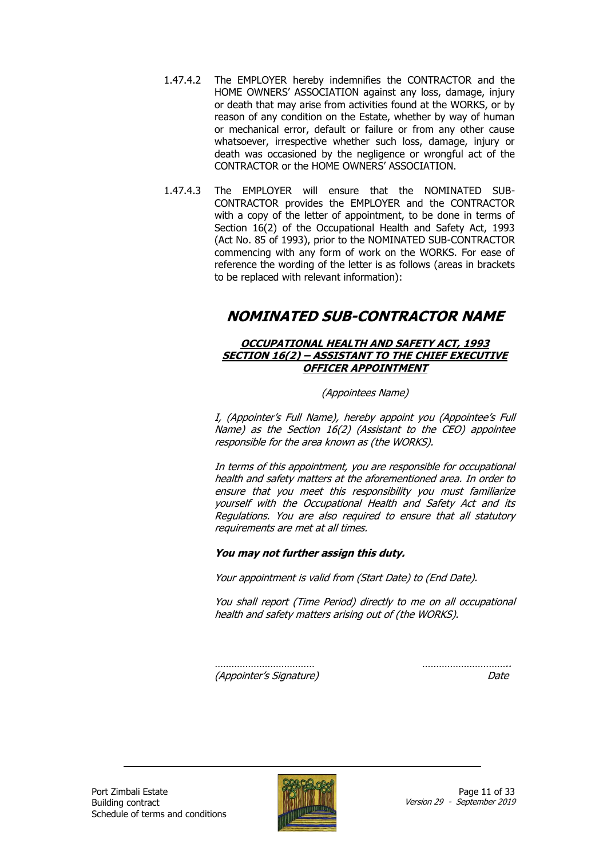- 1.47.4.2 The EMPLOYER hereby indemnifies the CONTRACTOR and the HOME OWNERS' ASSOCIATION against any loss, damage, injury or death that may arise from activities found at the WORKS, or by reason of any condition on the Estate, whether by way of human or mechanical error, default or failure or from any other cause whatsoever, irrespective whether such loss, damage, injury or death was occasioned by the negligence or wrongful act of the CONTRACTOR or the HOME OWNERS' ASSOCIATION.
- 1.47.4.3 The EMPLOYER will ensure that the NOMINATED SUB-CONTRACTOR provides the EMPLOYER and the CONTRACTOR with a copy of the letter of appointment, to be done in terms of Section 16(2) of the Occupational Health and Safety Act, 1993 (Act No. 85 of 1993), prior to the NOMINATED SUB-CONTRACTOR commencing with any form of work on the WORKS. For ease of reference the wording of the letter is as follows (areas in brackets to be replaced with relevant information):

### **NOMINATED SUB-CONTRACTOR NAME**

#### **OCCUPATIONAL HEALTH AND SAFETY ACT, 1993 SECTION 16(2) – ASSISTANT TO THE CHIEF EXECUTIVE OFFICER APPOINTMENT**

(Appointees Name)

I, (Appointer's Full Name), hereby appoint you (Appointee's Full Name) as the Section 16(2) (Assistant to the CEO) appointee responsible for the area known as (the WORKS).

In terms of this appointment, you are responsible for occupational health and safety matters at the aforementioned area. In order to ensure that you meet this responsibility you must familiarize yourself with the Occupational Health and Safety Act and its Regulations. You are also required to ensure that all statutory requirements are met at all times.

#### **You may not further assign this duty.**

Your appointment is valid from (Start Date) to (End Date).

You shall report (Time Period) directly to me on all occupational health and safety matters arising out of (the WORKS).

(Appointer's Signature) Date

……………………………… …………………………..

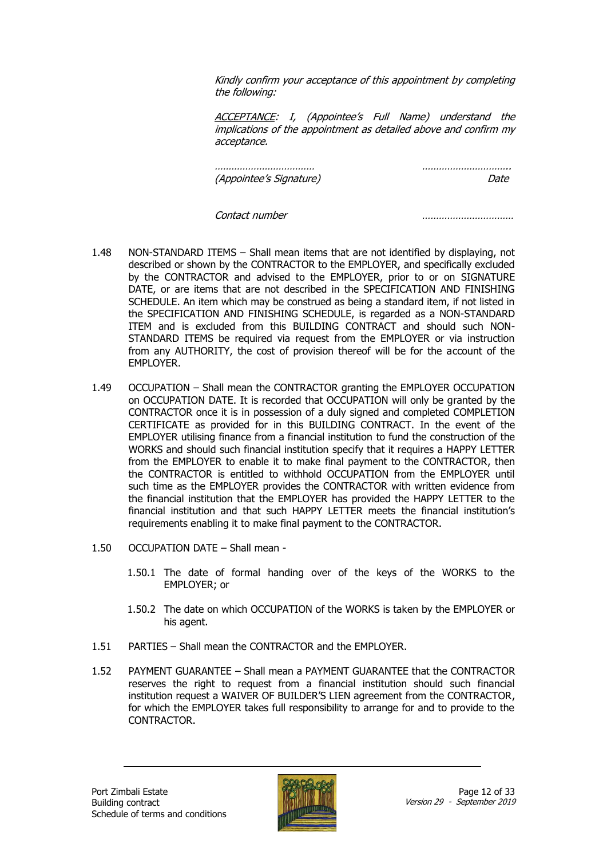Kindly confirm your acceptance of this appointment by completing the following:

ACCEPTANCE: I, (Appointee's Full Name) understand the implications of the appointment as detailed above and confirm my acceptance.

……………………………… ………………………….. (Appointee's Signature) Date

Contact number ……………………………

- 1.48 NON-STANDARD ITEMS Shall mean items that are not identified by displaying, not described or shown by the CONTRACTOR to the EMPLOYER, and specifically excluded by the CONTRACTOR and advised to the EMPLOYER, prior to or on SIGNATURE DATE, or are items that are not described in the SPECIFICATION AND FINISHING SCHEDULE. An item which may be construed as being a standard item, if not listed in the SPECIFICATION AND FINISHING SCHEDULE, is regarded as a NON-STANDARD ITEM and is excluded from this BUILDING CONTRACT and should such NON-STANDARD ITEMS be required via request from the EMPLOYER or via instruction from any AUTHORITY, the cost of provision thereof will be for the account of the EMPLOYER.
- 1.49 OCCUPATION Shall mean the CONTRACTOR granting the EMPLOYER OCCUPATION on OCCUPATION DATE. It is recorded that OCCUPATION will only be granted by the CONTRACTOR once it is in possession of a duly signed and completed COMPLETION CERTIFICATE as provided for in this BUILDING CONTRACT. In the event of the EMPLOYER utilising finance from a financial institution to fund the construction of the WORKS and should such financial institution specify that it requires a HAPPY LETTER from the EMPLOYER to enable it to make final payment to the CONTRACTOR, then the CONTRACTOR is entitled to withhold OCCUPATION from the EMPLOYER until such time as the EMPLOYER provides the CONTRACTOR with written evidence from the financial institution that the EMPLOYER has provided the HAPPY LETTER to the financial institution and that such HAPPY LETTER meets the financial institution's requirements enabling it to make final payment to the CONTRACTOR.
- 1.50 OCCUPATION DATE Shall mean
	- 1.50.1 The date of formal handing over of the keys of the WORKS to the EMPLOYER; or
	- 1.50.2 The date on which OCCUPATION of the WORKS is taken by the EMPLOYER or his agent.
- 1.51 PARTIES Shall mean the CONTRACTOR and the EMPLOYER.
- 1.52 PAYMENT GUARANTEE Shall mean a PAYMENT GUARANTEE that the CONTRACTOR reserves the right to request from a financial institution should such financial institution request a WAIVER OF BUILDER'S LIEN agreement from the CONTRACTOR, for which the EMPLOYER takes full responsibility to arrange for and to provide to the CONTRACTOR.

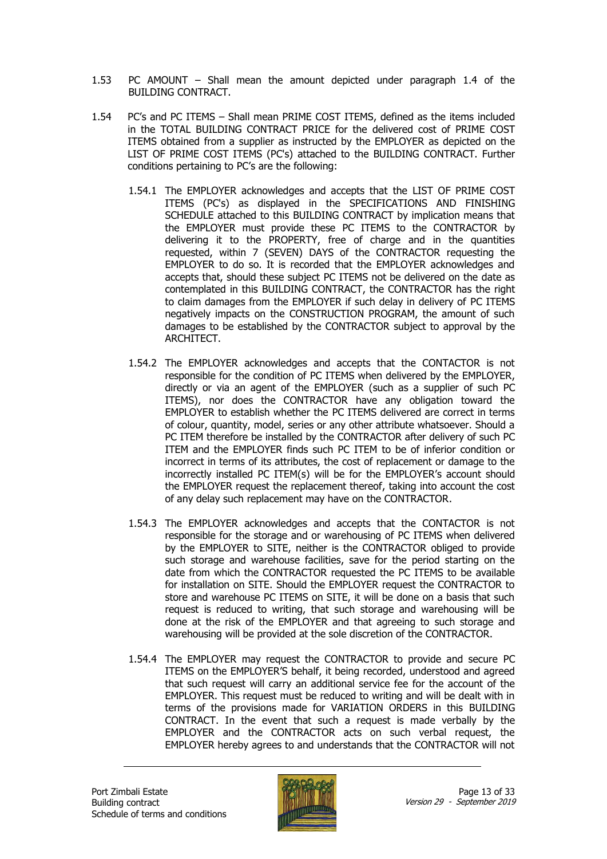- 1.53 PC AMOUNT Shall mean the amount depicted under paragraph 1.4 of the BUILDING CONTRACT.
- 1.54 PC's and PC ITEMS Shall mean PRIME COST ITEMS, defined as the items included in the TOTAL BUILDING CONTRACT PRICE for the delivered cost of PRIME COST ITEMS obtained from a supplier as instructed by the EMPLOYER as depicted on the LIST OF PRIME COST ITEMS (PC's) attached to the BUILDING CONTRACT. Further conditions pertaining to PC's are the following:
	- 1.54.1 The EMPLOYER acknowledges and accepts that the LIST OF PRIME COST ITEMS (PC's) as displayed in the SPECIFICATIONS AND FINISHING SCHEDULE attached to this BUILDING CONTRACT by implication means that the EMPLOYER must provide these PC ITEMS to the CONTRACTOR by delivering it to the PROPERTY, free of charge and in the quantities requested, within 7 (SEVEN) DAYS of the CONTRACTOR requesting the EMPLOYER to do so. It is recorded that the EMPLOYER acknowledges and accepts that, should these subject PC ITEMS not be delivered on the date as contemplated in this BUILDING CONTRACT, the CONTRACTOR has the right to claim damages from the EMPLOYER if such delay in delivery of PC ITEMS negatively impacts on the CONSTRUCTION PROGRAM, the amount of such damages to be established by the CONTRACTOR subject to approval by the ARCHITECT.
	- 1.54.2 The EMPLOYER acknowledges and accepts that the CONTACTOR is not responsible for the condition of PC ITEMS when delivered by the EMPLOYER, directly or via an agent of the EMPLOYER (such as a supplier of such PC ITEMS), nor does the CONTRACTOR have any obligation toward the EMPLOYER to establish whether the PC ITEMS delivered are correct in terms of colour, quantity, model, series or any other attribute whatsoever. Should a PC ITEM therefore be installed by the CONTRACTOR after delivery of such PC ITEM and the EMPLOYER finds such PC ITEM to be of inferior condition or incorrect in terms of its attributes, the cost of replacement or damage to the incorrectly installed PC ITEM(s) will be for the EMPLOYER's account should the EMPLOYER request the replacement thereof, taking into account the cost of any delay such replacement may have on the CONTRACTOR.
	- 1.54.3 The EMPLOYER acknowledges and accepts that the CONTACTOR is not responsible for the storage and or warehousing of PC ITEMS when delivered by the EMPLOYER to SITE, neither is the CONTRACTOR obliged to provide such storage and warehouse facilities, save for the period starting on the date from which the CONTRACTOR requested the PC ITEMS to be available for installation on SITE. Should the EMPLOYER request the CONTRACTOR to store and warehouse PC ITEMS on SITE, it will be done on a basis that such request is reduced to writing, that such storage and warehousing will be done at the risk of the EMPLOYER and that agreeing to such storage and warehousing will be provided at the sole discretion of the CONTRACTOR.
	- 1.54.4 The EMPLOYER may request the CONTRACTOR to provide and secure PC ITEMS on the EMPLOYER'S behalf, it being recorded, understood and agreed that such request will carry an additional service fee for the account of the EMPLOYER. This request must be reduced to writing and will be dealt with in terms of the provisions made for VARIATION ORDERS in this BUILDING CONTRACT. In the event that such a request is made verbally by the EMPLOYER and the CONTRACTOR acts on such verbal request, the EMPLOYER hereby agrees to and understands that the CONTRACTOR will not

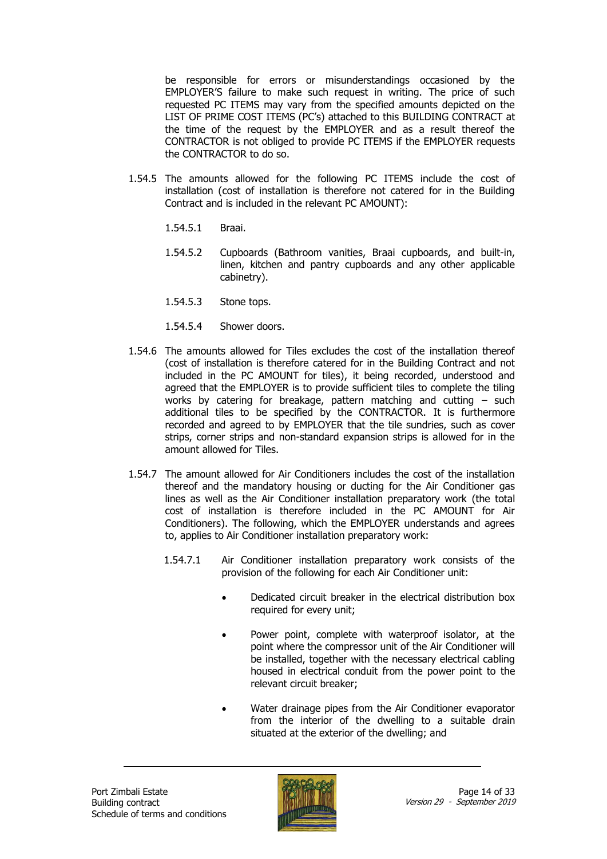be responsible for errors or misunderstandings occasioned by the EMPLOYER'S failure to make such request in writing. The price of such requested PC ITEMS may vary from the specified amounts depicted on the LIST OF PRIME COST ITEMS (PC's) attached to this BUILDING CONTRACT at the time of the request by the EMPLOYER and as a result thereof the CONTRACTOR is not obliged to provide PC ITEMS if the EMPLOYER requests the CONTRACTOR to do so.

- 1.54.5 The amounts allowed for the following PC ITEMS include the cost of installation (cost of installation is therefore not catered for in the Building Contract and is included in the relevant PC AMOUNT):
	- 1.54.5.1 Braai.
	- 1.54.5.2 Cupboards (Bathroom vanities, Braai cupboards, and built-in, linen, kitchen and pantry cupboards and any other applicable cabinetry).
	- 1.54.5.3 Stone tops.
	- 1.54.5.4 Shower doors.
- 1.54.6 The amounts allowed for Tiles excludes the cost of the installation thereof (cost of installation is therefore catered for in the Building Contract and not included in the PC AMOUNT for tiles), it being recorded, understood and agreed that the EMPLOYER is to provide sufficient tiles to complete the tiling works by catering for breakage, pattern matching and cutting – such additional tiles to be specified by the CONTRACTOR. It is furthermore recorded and agreed to by EMPLOYER that the tile sundries, such as cover strips, corner strips and non-standard expansion strips is allowed for in the amount allowed for Tiles.
- 1.54.7 The amount allowed for Air Conditioners includes the cost of the installation thereof and the mandatory housing or ducting for the Air Conditioner gas lines as well as the Air Conditioner installation preparatory work (the total cost of installation is therefore included in the PC AMOUNT for Air Conditioners). The following, which the EMPLOYER understands and agrees to, applies to Air Conditioner installation preparatory work:
	- 1.54.7.1 Air Conditioner installation preparatory work consists of the provision of the following for each Air Conditioner unit:
		- Dedicated circuit breaker in the electrical distribution box required for every unit;
		- Power point, complete with waterproof isolator, at the point where the compressor unit of the Air Conditioner will be installed, together with the necessary electrical cabling housed in electrical conduit from the power point to the relevant circuit breaker;
		- Water drainage pipes from the Air Conditioner evaporator from the interior of the dwelling to a suitable drain situated at the exterior of the dwelling; and

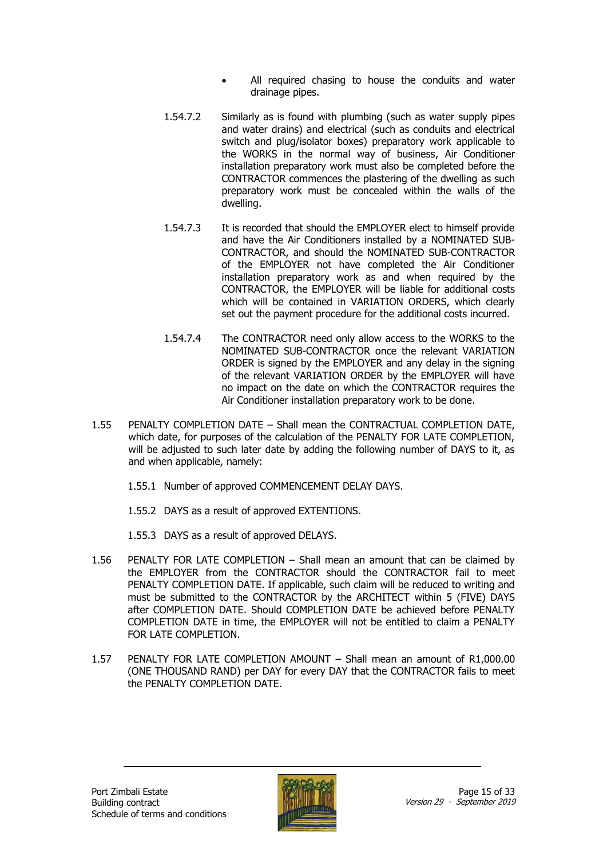- All required chasing to house the conduits and water drainage pipes.
- 1.54.7.2 Similarly as is found with plumbing (such as water supply pipes and water drains) and electrical (such as conduits and electrical switch and plug/isolator boxes) preparatory work applicable to the WORKS in the normal way of business, Air Conditioner installation preparatory work must also be completed before the CONTRACTOR commences the plastering of the dwelling as such preparatory work must be concealed within the walls of the dwelling.
- 1.54.7.3 It is recorded that should the EMPLOYER elect to himself provide and have the Air Conditioners installed by a NOMINATED SUB-CONTRACTOR, and should the NOMINATED SUB-CONTRACTOR of the EMPLOYER not have completed the Air Conditioner installation preparatory work as and when required by the CONTRACTOR, the EMPLOYER will be liable for additional costs which will be contained in VARIATION ORDERS, which clearly set out the payment procedure for the additional costs incurred.
- 1.54.7.4 The CONTRACTOR need only allow access to the WORKS to the NOMINATED SUB-CONTRACTOR once the relevant VARIATION ORDER is signed by the EMPLOYER and any delay in the signing of the relevant VARIATION ORDER by the EMPLOYER will have no impact on the date on which the CONTRACTOR requires the Air Conditioner installation preparatory work to be done.
- 1.55 PENALTY COMPLETION DATE Shall mean the CONTRACTUAL COMPLETION DATE, which date, for purposes of the calculation of the PENALTY FOR LATE COMPLETION, will be adjusted to such later date by adding the following number of DAYS to it, as and when applicable, namely:
	- 1.55.1 Number of approved COMMENCEMENT DELAY DAYS.
	- 1.55.2 DAYS as a result of approved EXTENTIONS.
	- 1.55.3 DAYS as a result of approved DELAYS.
- 1.56 PENALTY FOR LATE COMPLETION Shall mean an amount that can be claimed by the EMPLOYER from the CONTRACTOR should the CONTRACTOR fail to meet PENALTY COMPLETION DATE. If applicable, such claim will be reduced to writing and must be submitted to the CONTRACTOR by the ARCHITECT within 5 (FIVE) DAYS after COMPLETION DATE. Should COMPLETION DATE be achieved before PENALTY COMPLETION DATE in time, the EMPLOYER will not be entitled to claim a PENALTY FOR LATE COMPLETION.
- 1.57 PENALTY FOR LATE COMPLETION AMOUNT Shall mean an amount of R1,000.00 (ONE THOUSAND RAND) per DAY for every DAY that the CONTRACTOR fails to meet the PENALTY COMPLETION DATE.

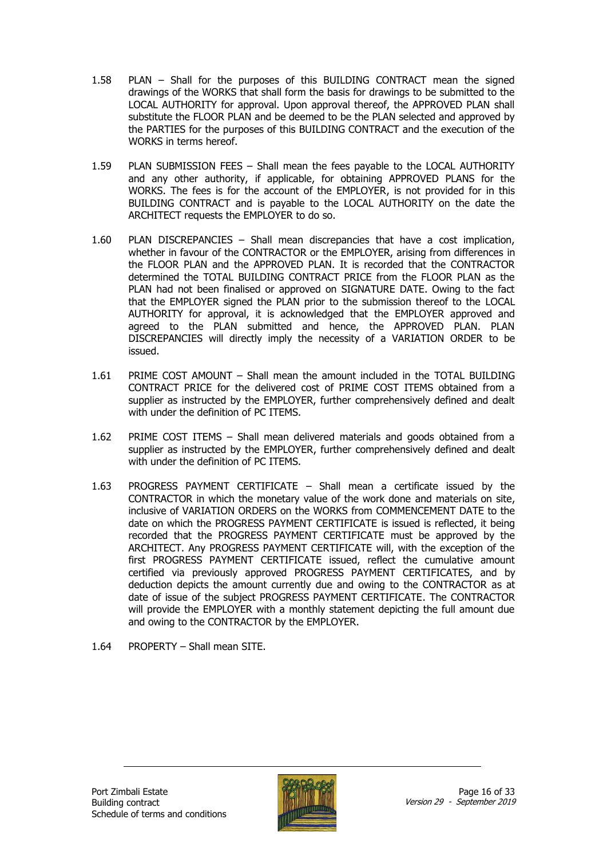- 1.58 PLAN Shall for the purposes of this BUILDING CONTRACT mean the signed drawings of the WORKS that shall form the basis for drawings to be submitted to the LOCAL AUTHORITY for approval. Upon approval thereof, the APPROVED PLAN shall substitute the FLOOR PLAN and be deemed to be the PLAN selected and approved by the PARTIES for the purposes of this BUILDING CONTRACT and the execution of the WORKS in terms hereof.
- 1.59 PLAN SUBMISSION FEES Shall mean the fees payable to the LOCAL AUTHORITY and any other authority, if applicable, for obtaining APPROVED PLANS for the WORKS. The fees is for the account of the EMPLOYER, is not provided for in this BUILDING CONTRACT and is payable to the LOCAL AUTHORITY on the date the ARCHITECT requests the EMPLOYER to do so.
- 1.60 PLAN DISCREPANCIES Shall mean discrepancies that have a cost implication, whether in favour of the CONTRACTOR or the EMPLOYER, arising from differences in the FLOOR PLAN and the APPROVED PLAN. It is recorded that the CONTRACTOR determined the TOTAL BUILDING CONTRACT PRICE from the FLOOR PLAN as the PLAN had not been finalised or approved on SIGNATURE DATE. Owing to the fact that the EMPLOYER signed the PLAN prior to the submission thereof to the LOCAL AUTHORITY for approval, it is acknowledged that the EMPLOYER approved and agreed to the PLAN submitted and hence, the APPROVED PLAN. PLAN DISCREPANCIES will directly imply the necessity of a VARIATION ORDER to be issued.
- 1.61 PRIME COST AMOUNT Shall mean the amount included in the TOTAL BUILDING CONTRACT PRICE for the delivered cost of PRIME COST ITEMS obtained from a supplier as instructed by the EMPLOYER, further comprehensively defined and dealt with under the definition of PC ITEMS.
- 1.62 PRIME COST ITEMS Shall mean delivered materials and goods obtained from a supplier as instructed by the EMPLOYER, further comprehensively defined and dealt with under the definition of PC ITEMS.
- 1.63 PROGRESS PAYMENT CERTIFICATE Shall mean a certificate issued by the CONTRACTOR in which the monetary value of the work done and materials on site, inclusive of VARIATION ORDERS on the WORKS from COMMENCEMENT DATE to the date on which the PROGRESS PAYMENT CERTIFICATE is issued is reflected, it being recorded that the PROGRESS PAYMENT CERTIFICATE must be approved by the ARCHITECT. Any PROGRESS PAYMENT CERTIFICATE will, with the exception of the first PROGRESS PAYMENT CERTIFICATE issued, reflect the cumulative amount certified via previously approved PROGRESS PAYMENT CERTIFICATES, and by deduction depicts the amount currently due and owing to the CONTRACTOR as at date of issue of the subject PROGRESS PAYMENT CERTIFICATE. The CONTRACTOR will provide the EMPLOYER with a monthly statement depicting the full amount due and owing to the CONTRACTOR by the EMPLOYER.
- 1.64 PROPERTY Shall mean SITE.

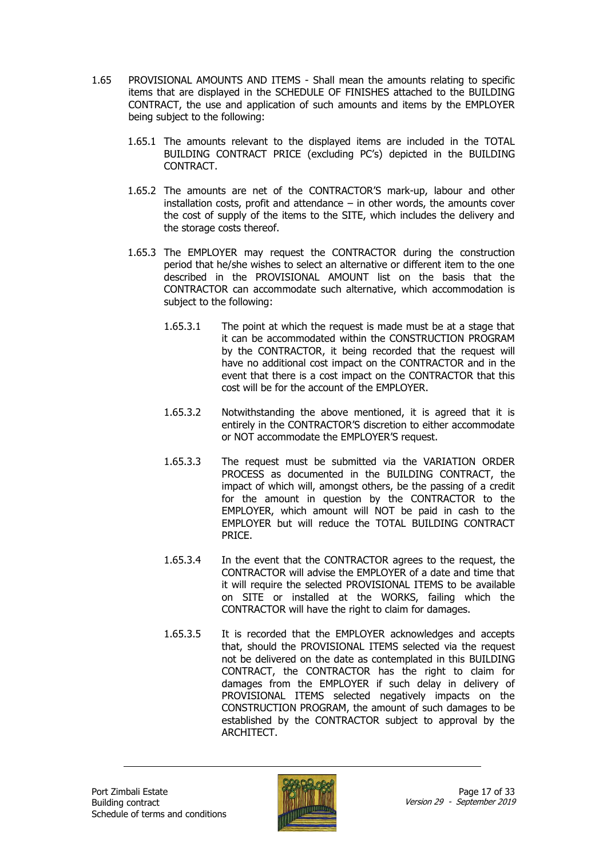- 1.65 PROVISIONAL AMOUNTS AND ITEMS Shall mean the amounts relating to specific items that are displayed in the SCHEDULE OF FINISHES attached to the BUILDING CONTRACT, the use and application of such amounts and items by the EMPLOYER being subject to the following:
	- 1.65.1 The amounts relevant to the displayed items are included in the TOTAL BUILDING CONTRACT PRICE (excluding PC's) depicted in the BUILDING CONTRACT.
	- 1.65.2 The amounts are net of the CONTRACTOR'S mark-up, labour and other installation costs, profit and attendance – in other words, the amounts cover the cost of supply of the items to the SITE, which includes the delivery and the storage costs thereof.
	- 1.65.3 The EMPLOYER may request the CONTRACTOR during the construction period that he/she wishes to select an alternative or different item to the one described in the PROVISIONAL AMOUNT list on the basis that the CONTRACTOR can accommodate such alternative, which accommodation is subject to the following:
		- 1.65.3.1 The point at which the request is made must be at a stage that it can be accommodated within the CONSTRUCTION PROGRAM by the CONTRACTOR, it being recorded that the request will have no additional cost impact on the CONTRACTOR and in the event that there is a cost impact on the CONTRACTOR that this cost will be for the account of the EMPLOYER.
		- 1.65.3.2 Notwithstanding the above mentioned, it is agreed that it is entirely in the CONTRACTOR'S discretion to either accommodate or NOT accommodate the EMPLOYER'S request.
		- 1.65.3.3 The request must be submitted via the VARIATION ORDER PROCESS as documented in the BUILDING CONTRACT, the impact of which will, amongst others, be the passing of a credit for the amount in question by the CONTRACTOR to the EMPLOYER, which amount will NOT be paid in cash to the EMPLOYER but will reduce the TOTAL BUILDING CONTRACT PRICE.
		- 1.65.3.4 In the event that the CONTRACTOR agrees to the request, the CONTRACTOR will advise the EMPLOYER of a date and time that it will require the selected PROVISIONAL ITEMS to be available on SITE or installed at the WORKS, failing which the CONTRACTOR will have the right to claim for damages.
		- 1.65.3.5 It is recorded that the EMPLOYER acknowledges and accepts that, should the PROVISIONAL ITEMS selected via the request not be delivered on the date as contemplated in this BUILDING CONTRACT, the CONTRACTOR has the right to claim for damages from the EMPLOYER if such delay in delivery of PROVISIONAL ITEMS selected negatively impacts on the CONSTRUCTION PROGRAM, the amount of such damages to be established by the CONTRACTOR subject to approval by the ARCHITECT.

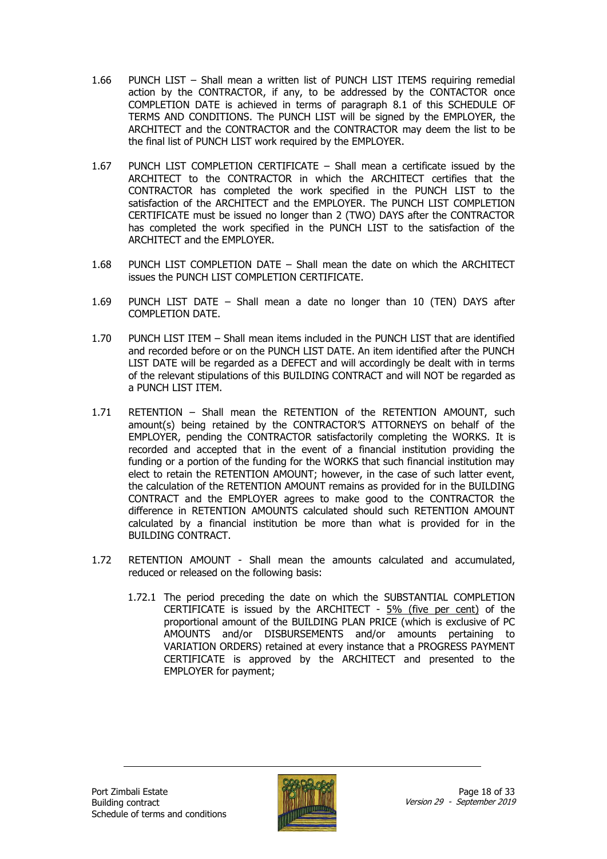- 1.66 PUNCH LIST Shall mean a written list of PUNCH LIST ITEMS requiring remedial action by the CONTRACTOR, if any, to be addressed by the CONTACTOR once COMPLETION DATE is achieved in terms of paragraph 8.1 of this SCHEDULE OF TERMS AND CONDITIONS. The PUNCH LIST will be signed by the EMPLOYER, the ARCHITECT and the CONTRACTOR and the CONTRACTOR may deem the list to be the final list of PUNCH LIST work required by the EMPLOYER.
- 1.67 PUNCH LIST COMPLETION CERTIFICATE Shall mean a certificate issued by the ARCHITECT to the CONTRACTOR in which the ARCHITECT certifies that the CONTRACTOR has completed the work specified in the PUNCH LIST to the satisfaction of the ARCHITECT and the EMPLOYER. The PUNCH LIST COMPLETION CERTIFICATE must be issued no longer than 2 (TWO) DAYS after the CONTRACTOR has completed the work specified in the PUNCH LIST to the satisfaction of the ARCHITECT and the EMPLOYER.
- 1.68 PUNCH LIST COMPLETION DATE Shall mean the date on which the ARCHITECT issues the PUNCH LIST COMPLETION CERTIFICATE.
- 1.69 PUNCH LIST DATE Shall mean a date no longer than 10 (TEN) DAYS after COMPLETION DATE.
- 1.70 PUNCH LIST ITEM Shall mean items included in the PUNCH LIST that are identified and recorded before or on the PUNCH LIST DATE. An item identified after the PUNCH LIST DATE will be regarded as a DEFECT and will accordingly be dealt with in terms of the relevant stipulations of this BUILDING CONTRACT and will NOT be regarded as a PUNCH LIST ITEM.
- 1.71 RETENTION Shall mean the RETENTION of the RETENTION AMOUNT, such amount(s) being retained by the CONTRACTOR'S ATTORNEYS on behalf of the EMPLOYER, pending the CONTRACTOR satisfactorily completing the WORKS. It is recorded and accepted that in the event of a financial institution providing the funding or a portion of the funding for the WORKS that such financial institution may elect to retain the RETENTION AMOUNT; however, in the case of such latter event, the calculation of the RETENTION AMOUNT remains as provided for in the BUILDING CONTRACT and the EMPLOYER agrees to make good to the CONTRACTOR the difference in RETENTION AMOUNTS calculated should such RETENTION AMOUNT calculated by a financial institution be more than what is provided for in the BUILDING CONTRACT.
- 1.72 RETENTION AMOUNT Shall mean the amounts calculated and accumulated, reduced or released on the following basis:
	- 1.72.1 The period preceding the date on which the SUBSTANTIAL COMPLETION CERTIFICATE is issued by the ARCHITECT - 5% (five per cent) of the proportional amount of the BUILDING PLAN PRICE (which is exclusive of PC AMOUNTS and/or DISBURSEMENTS and/or amounts pertaining to VARIATION ORDERS) retained at every instance that a PROGRESS PAYMENT CERTIFICATE is approved by the ARCHITECT and presented to the EMPLOYER for payment;

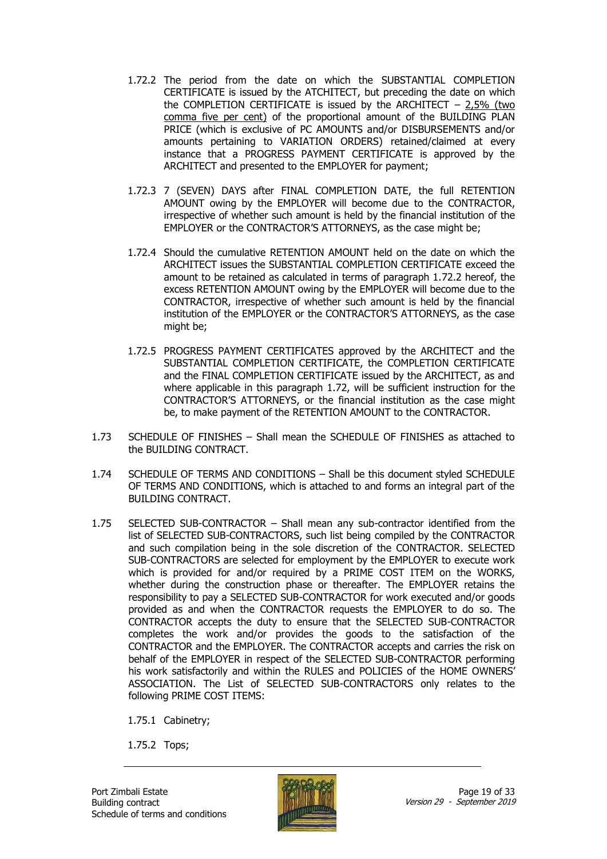- 1.72.2 The period from the date on which the SUBSTANTIAL COMPLETION CERTIFICATE is issued by the ATCHITECT, but preceding the date on which the COMPLETION CERTIFICATE is issued by the ARCHITECT  $-2,5\%$  (two comma five per cent) of the proportional amount of the BUILDING PLAN PRICE (which is exclusive of PC AMOUNTS and/or DISBURSEMENTS and/or amounts pertaining to VARIATION ORDERS) retained/claimed at every instance that a PROGRESS PAYMENT CERTIFICATE is approved by the ARCHITECT and presented to the EMPLOYER for payment;
- 1.72.3 7 (SEVEN) DAYS after FINAL COMPLETION DATE, the full RETENTION AMOUNT owing by the EMPLOYER will become due to the CONTRACTOR, irrespective of whether such amount is held by the financial institution of the EMPLOYER or the CONTRACTOR'S ATTORNEYS, as the case might be;
- 1.72.4 Should the cumulative RETENTION AMOUNT held on the date on which the ARCHITECT issues the SUBSTANTIAL COMPLETION CERTIFICATE exceed the amount to be retained as calculated in terms of paragraph 1.72.2 hereof, the excess RETENTION AMOUNT owing by the EMPLOYER will become due to the CONTRACTOR, irrespective of whether such amount is held by the financial institution of the EMPLOYER or the CONTRACTOR'S ATTORNEYS, as the case might be:
- 1.72.5 PROGRESS PAYMENT CERTIFICATES approved by the ARCHITECT and the SUBSTANTIAL COMPLETION CERTIFICATE, the COMPLETION CERTIFICATE and the FINAL COMPLETION CERTIFICATE issued by the ARCHITECT, as and where applicable in this paragraph 1.72, will be sufficient instruction for the CONTRACTOR'S ATTORNEYS, or the financial institution as the case might be, to make payment of the RETENTION AMOUNT to the CONTRACTOR.
- 1.73 SCHEDULE OF FINISHES Shall mean the SCHEDULE OF FINISHES as attached to the BUILDING CONTRACT.
- 1.74 SCHEDULE OF TERMS AND CONDITIONS Shall be this document styled SCHEDULE OF TERMS AND CONDITIONS, which is attached to and forms an integral part of the BUILDING CONTRACT.
- 1.75 SELECTED SUB-CONTRACTOR Shall mean any sub-contractor identified from the list of SELECTED SUB-CONTRACTORS, such list being compiled by the CONTRACTOR and such compilation being in the sole discretion of the CONTRACTOR. SELECTED SUB-CONTRACTORS are selected for employment by the EMPLOYER to execute work which is provided for and/or required by a PRIME COST ITEM on the WORKS, whether during the construction phase or thereafter. The EMPLOYER retains the responsibility to pay a SELECTED SUB-CONTRACTOR for work executed and/or goods provided as and when the CONTRACTOR requests the EMPLOYER to do so. The CONTRACTOR accepts the duty to ensure that the SELECTED SUB-CONTRACTOR completes the work and/or provides the goods to the satisfaction of the CONTRACTOR and the EMPLOYER. The CONTRACTOR accepts and carries the risk on behalf of the EMPLOYER in respect of the SELECTED SUB-CONTRACTOR performing his work satisfactorily and within the RULES and POLICIES of the HOME OWNERS' ASSOCIATION. The List of SELECTED SUB-CONTRACTORS only relates to the following PRIME COST ITEMS:

1.75.1 Cabinetry;

1.75.2 Tops;

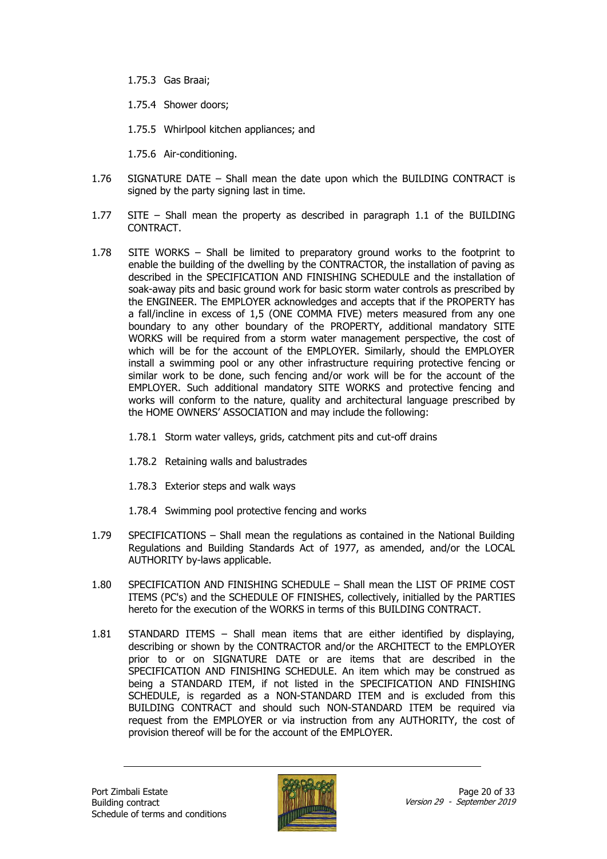- 1.75.3 Gas Braai;
- 1.75.4 Shower doors;
- 1.75.5 Whirlpool kitchen appliances; and

1.75.6 Air-conditioning.

- 1.76 SIGNATURE DATE Shall mean the date upon which the BUILDING CONTRACT is signed by the party signing last in time.
- 1.77 SITE Shall mean the property as described in paragraph 1.1 of the BUILDING CONTRACT.
- 1.78 SITE WORKS Shall be limited to preparatory ground works to the footprint to enable the building of the dwelling by the CONTRACTOR, the installation of paving as described in the SPECIFICATION AND FINISHING SCHEDULE and the installation of soak-away pits and basic ground work for basic storm water controls as prescribed by the ENGINEER. The EMPLOYER acknowledges and accepts that if the PROPERTY has a fall/incline in excess of 1,5 (ONE COMMA FIVE) meters measured from any one boundary to any other boundary of the PROPERTY, additional mandatory SITE WORKS will be required from a storm water management perspective, the cost of which will be for the account of the EMPLOYER. Similarly, should the EMPLOYER install a swimming pool or any other infrastructure requiring protective fencing or similar work to be done, such fencing and/or work will be for the account of the EMPLOYER. Such additional mandatory SITE WORKS and protective fencing and works will conform to the nature, quality and architectural language prescribed by the HOME OWNERS' ASSOCIATION and may include the following:
	- 1.78.1 Storm water valleys, grids, catchment pits and cut-off drains
	- 1.78.2 Retaining walls and balustrades
	- 1.78.3 Exterior steps and walk ways
	- 1.78.4 Swimming pool protective fencing and works
- 1.79 SPECIFICATIONS Shall mean the regulations as contained in the National Building Regulations and Building Standards Act of 1977, as amended, and/or the LOCAL AUTHORITY by-laws applicable.
- 1.80 SPECIFICATION AND FINISHING SCHEDULE Shall mean the LIST OF PRIME COST ITEMS (PC's) and the SCHEDULE OF FINISHES, collectively, initialled by the PARTIES hereto for the execution of the WORKS in terms of this BUILDING CONTRACT.
- 1.81 STANDARD ITEMS Shall mean items that are either identified by displaying, describing or shown by the CONTRACTOR and/or the ARCHITECT to the EMPLOYER prior to or on SIGNATURE DATE or are items that are described in the SPECIFICATION AND FINISHING SCHEDULE. An item which may be construed as being a STANDARD ITEM, if not listed in the SPECIFICATION AND FINISHING SCHEDULE, is regarded as a NON-STANDARD ITEM and is excluded from this BUILDING CONTRACT and should such NON-STANDARD ITEM be required via request from the EMPLOYER or via instruction from any AUTHORITY, the cost of provision thereof will be for the account of the EMPLOYER.

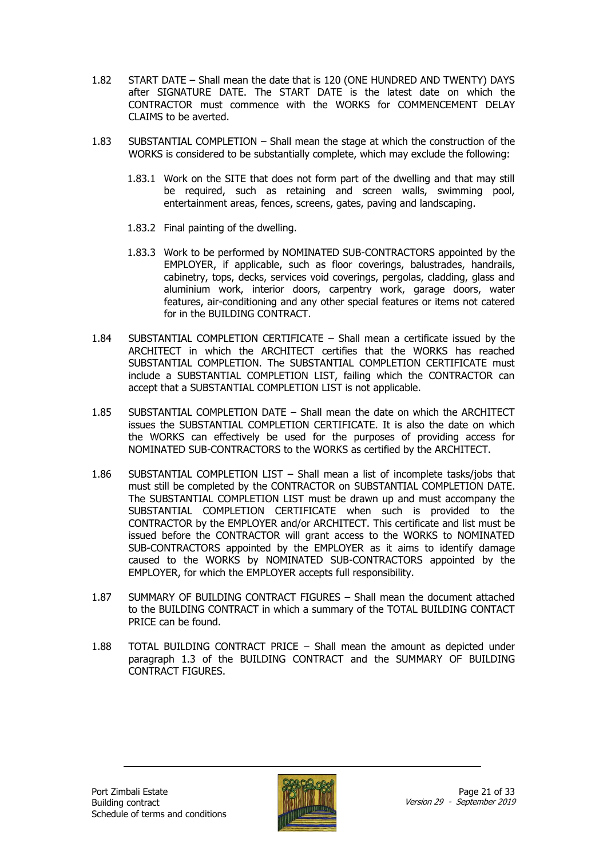- 1.82 START DATE Shall mean the date that is 120 (ONE HUNDRED AND TWENTY) DAYS after SIGNATURE DATE. The START DATE is the latest date on which the CONTRACTOR must commence with the WORKS for COMMENCEMENT DELAY CLAIMS to be averted.
- 1.83 SUBSTANTIAL COMPLETION Shall mean the stage at which the construction of the WORKS is considered to be substantially complete, which may exclude the following:
	- 1.83.1 Work on the SITE that does not form part of the dwelling and that may still be required, such as retaining and screen walls, swimming pool, entertainment areas, fences, screens, gates, paving and landscaping.
	- 1.83.2 Final painting of the dwelling.
	- 1.83.3 Work to be performed by NOMINATED SUB-CONTRACTORS appointed by the EMPLOYER, if applicable, such as floor coverings, balustrades, handrails, cabinetry, tops, decks, services void coverings, pergolas, cladding, glass and aluminium work, interior doors, carpentry work, garage doors, water features, air-conditioning and any other special features or items not catered for in the BUILDING CONTRACT.
- 1.84 SUBSTANTIAL COMPLETION CERTIFICATE Shall mean a certificate issued by the ARCHITECT in which the ARCHITECT certifies that the WORKS has reached SUBSTANTIAL COMPLETION. The SUBSTANTIAL COMPLETION CERTIFICATE must include a SUBSTANTIAL COMPLETION LIST, failing which the CONTRACTOR can accept that a SUBSTANTIAL COMPLETION LIST is not applicable.
- 1.85 SUBSTANTIAL COMPLETION DATE Shall mean the date on which the ARCHITECT issues the SUBSTANTIAL COMPLETION CERTIFICATE. It is also the date on which the WORKS can effectively be used for the purposes of providing access for NOMINATED SUB-CONTRACTORS to the WORKS as certified by the ARCHITECT.
- 1.86 SUBSTANTIAL COMPLETION LIST Shall mean a list of incomplete tasks/jobs that must still be completed by the CONTRACTOR on SUBSTANTIAL COMPLETION DATE. The SUBSTANTIAL COMPLETION LIST must be drawn up and must accompany the SUBSTANTIAL COMPLETION CERTIFICATE when such is provided to the CONTRACTOR by the EMPLOYER and/or ARCHITECT. This certificate and list must be issued before the CONTRACTOR will grant access to the WORKS to NOMINATED SUB-CONTRACTORS appointed by the EMPLOYER as it aims to identify damage caused to the WORKS by NOMINATED SUB-CONTRACTORS appointed by the EMPLOYER, for which the EMPLOYER accepts full responsibility.
- 1.87 SUMMARY OF BUILDING CONTRACT FIGURES Shall mean the document attached to the BUILDING CONTRACT in which a summary of the TOTAL BUILDING CONTACT PRICE can be found.
- 1.88 TOTAL BUILDING CONTRACT PRICE Shall mean the amount as depicted under paragraph 1.3 of the BUILDING CONTRACT and the SUMMARY OF BUILDING CONTRACT FIGURES.

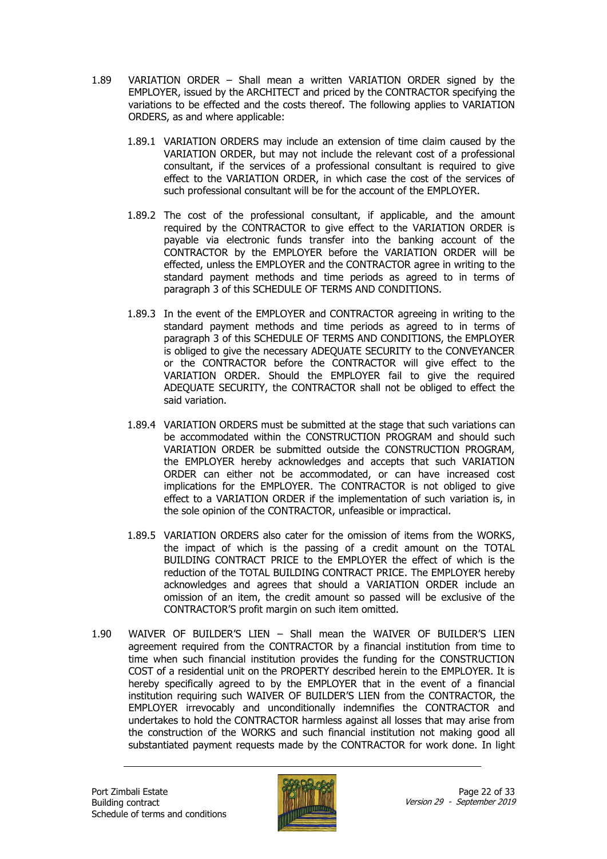- 1.89 VARIATION ORDER Shall mean a written VARIATION ORDER signed by the EMPLOYER, issued by the ARCHITECT and priced by the CONTRACTOR specifying the variations to be effected and the costs thereof. The following applies to VARIATION ORDERS, as and where applicable:
	- 1.89.1 VARIATION ORDERS may include an extension of time claim caused by the VARIATION ORDER, but may not include the relevant cost of a professional consultant, if the services of a professional consultant is required to give effect to the VARIATION ORDER, in which case the cost of the services of such professional consultant will be for the account of the EMPLOYER.
	- 1.89.2 The cost of the professional consultant, if applicable, and the amount required by the CONTRACTOR to give effect to the VARIATION ORDER is payable via electronic funds transfer into the banking account of the CONTRACTOR by the EMPLOYER before the VARIATION ORDER will be effected, unless the EMPLOYER and the CONTRACTOR agree in writing to the standard payment methods and time periods as agreed to in terms of paragraph 3 of this SCHEDULE OF TERMS AND CONDITIONS.
	- 1.89.3 In the event of the EMPLOYER and CONTRACTOR agreeing in writing to the standard payment methods and time periods as agreed to in terms of paragraph 3 of this SCHEDULE OF TERMS AND CONDITIONS, the EMPLOYER is obliged to give the necessary ADEQUATE SECURITY to the CONVEYANCER or the CONTRACTOR before the CONTRACTOR will give effect to the VARIATION ORDER. Should the EMPLOYER fail to give the required ADEQUATE SECURITY, the CONTRACTOR shall not be obliged to effect the said variation.
	- 1.89.4 VARIATION ORDERS must be submitted at the stage that such variations can be accommodated within the CONSTRUCTION PROGRAM and should such VARIATION ORDER be submitted outside the CONSTRUCTION PROGRAM, the EMPLOYER hereby acknowledges and accepts that such VARIATION ORDER can either not be accommodated, or can have increased cost implications for the EMPLOYER. The CONTRACTOR is not obliged to give effect to a VARIATION ORDER if the implementation of such variation is, in the sole opinion of the CONTRACTOR, unfeasible or impractical.
	- 1.89.5 VARIATION ORDERS also cater for the omission of items from the WORKS, the impact of which is the passing of a credit amount on the TOTAL BUILDING CONTRACT PRICE to the EMPLOYER the effect of which is the reduction of the TOTAL BUILDING CONTRACT PRICE. The EMPLOYER hereby acknowledges and agrees that should a VARIATION ORDER include an omission of an item, the credit amount so passed will be exclusive of the CONTRACTOR'S profit margin on such item omitted.
- 1.90 WAIVER OF BUILDER'S LIEN Shall mean the WAIVER OF BUILDER'S LIEN agreement required from the CONTRACTOR by a financial institution from time to time when such financial institution provides the funding for the CONSTRUCTION COST of a residential unit on the PROPERTY described herein to the EMPLOYER. It is hereby specifically agreed to by the EMPLOYER that in the event of a financial institution requiring such WAIVER OF BUILDER'S LIEN from the CONTRACTOR, the EMPLOYER irrevocably and unconditionally indemnifies the CONTRACTOR and undertakes to hold the CONTRACTOR harmless against all losses that may arise from the construction of the WORKS and such financial institution not making good all substantiated payment requests made by the CONTRACTOR for work done. In light

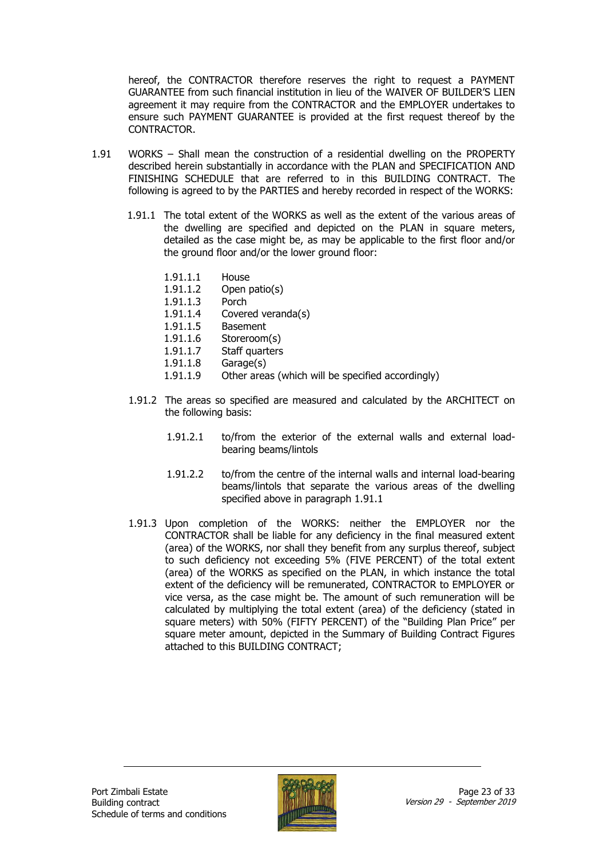hereof, the CONTRACTOR therefore reserves the right to request a PAYMENT GUARANTEE from such financial institution in lieu of the WAIVER OF BUILDER'S LIEN agreement it may require from the CONTRACTOR and the EMPLOYER undertakes to ensure such PAYMENT GUARANTEE is provided at the first request thereof by the CONTRACTOR.

- 1.91 WORKS Shall mean the construction of a residential dwelling on the PROPERTY described herein substantially in accordance with the PLAN and SPECIFICATION AND FINISHING SCHEDULE that are referred to in this BUILDING CONTRACT. The following is agreed to by the PARTIES and hereby recorded in respect of the WORKS:
	- 1.91.1 The total extent of the WORKS as well as the extent of the various areas of the dwelling are specified and depicted on the PLAN in square meters, detailed as the case might be, as may be applicable to the first floor and/or the ground floor and/or the lower ground floor:
		- 1.91.1.1 House
		- 1.91.1.2 Open patio(s)
		- 1.91.1.3 Porch
		- 1.91.1.4 Covered veranda(s)
		- 1.91.1.5 Basement
		- 1.91.1.6 Storeroom(s)
		- 1.91.1.7 Staff quarters
		- 1.91.1.8 Garage(s)
		- 1.91.1.9 Other areas (which will be specified accordingly)
	- 1.91.2 The areas so specified are measured and calculated by the ARCHITECT on the following basis:
		- 1.91.2.1 to/from the exterior of the external walls and external loadbearing beams/lintols
		- 1.91.2.2 to/from the centre of the internal walls and internal load-bearing beams/lintols that separate the various areas of the dwelling specified above in paragraph 1.91.1
	- 1.91.3 Upon completion of the WORKS: neither the EMPLOYER nor the CONTRACTOR shall be liable for any deficiency in the final measured extent (area) of the WORKS, nor shall they benefit from any surplus thereof, subject to such deficiency not exceeding 5% (FIVE PERCENT) of the total extent (area) of the WORKS as specified on the PLAN, in which instance the total extent of the deficiency will be remunerated, CONTRACTOR to EMPLOYER or vice versa, as the case might be. The amount of such remuneration will be calculated by multiplying the total extent (area) of the deficiency (stated in square meters) with 50% (FIFTY PERCENT) of the "Building Plan Price" per square meter amount, depicted in the Summary of Building Contract Figures attached to this BUILDING CONTRACT;

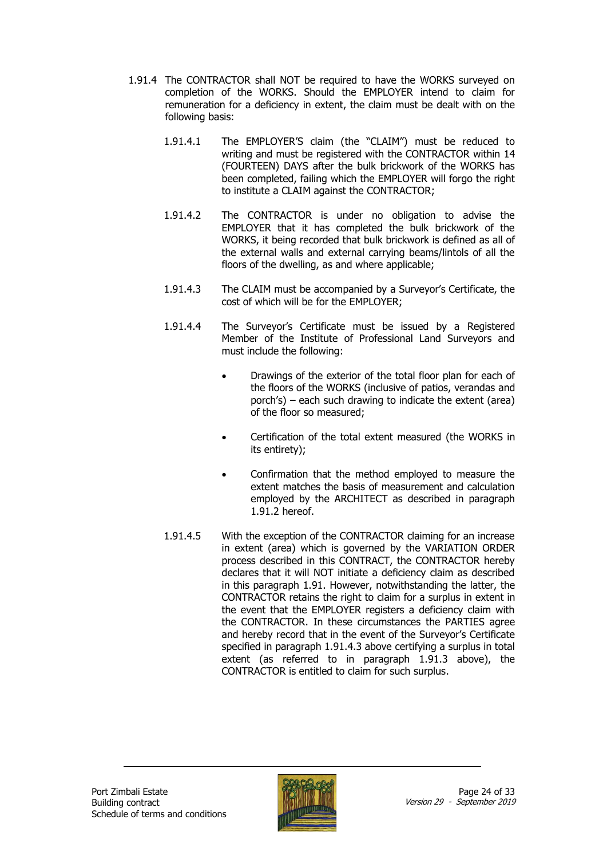- 1.91.4 The CONTRACTOR shall NOT be required to have the WORKS surveyed on completion of the WORKS. Should the EMPLOYER intend to claim for remuneration for a deficiency in extent, the claim must be dealt with on the following basis:
	- 1.91.4.1 The EMPLOYER'S claim (the "CLAIM") must be reduced to writing and must be registered with the CONTRACTOR within 14 (FOURTEEN) DAYS after the bulk brickwork of the WORKS has been completed, failing which the EMPLOYER will forgo the right to institute a CLAIM against the CONTRACTOR;
	- 1.91.4.2 The CONTRACTOR is under no obligation to advise the EMPLOYER that it has completed the bulk brickwork of the WORKS, it being recorded that bulk brickwork is defined as all of the external walls and external carrying beams/lintols of all the floors of the dwelling, as and where applicable;
	- 1.91.4.3 The CLAIM must be accompanied by a Surveyor's Certificate, the cost of which will be for the EMPLOYER;
	- 1.91.4.4 The Surveyor's Certificate must be issued by a Registered Member of the Institute of Professional Land Surveyors and must include the following:
		- Drawings of the exterior of the total floor plan for each of the floors of the WORKS (inclusive of patios, verandas and porch's) – each such drawing to indicate the extent (area) of the floor so measured;
		- Certification of the total extent measured (the WORKS in its entirety);
		- Confirmation that the method employed to measure the extent matches the basis of measurement and calculation employed by the ARCHITECT as described in paragraph 1.91.2 hereof.
	- 1.91.4.5 With the exception of the CONTRACTOR claiming for an increase in extent (area) which is governed by the VARIATION ORDER process described in this CONTRACT, the CONTRACTOR hereby declares that it will NOT initiate a deficiency claim as described in this paragraph 1.91. However, notwithstanding the latter, the CONTRACTOR retains the right to claim for a surplus in extent in the event that the EMPLOYER registers a deficiency claim with the CONTRACTOR. In these circumstances the PARTIES agree and hereby record that in the event of the Surveyor's Certificate specified in paragraph 1.91.4.3 above certifying a surplus in total extent (as referred to in paragraph 1.91.3 above), the CONTRACTOR is entitled to claim for such surplus.

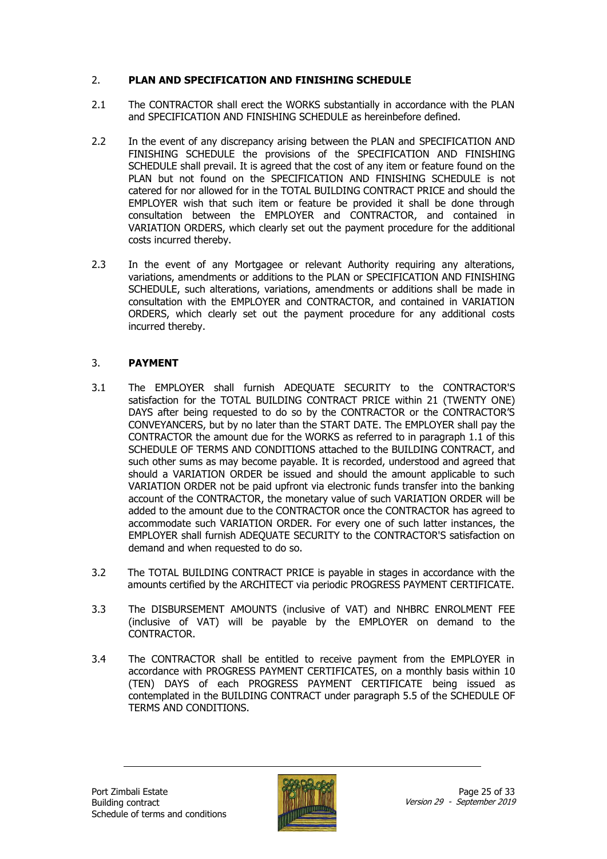#### 2. **PLAN AND SPECIFICATION AND FINISHING SCHEDULE**

- 2.1 The CONTRACTOR shall erect the WORKS substantially in accordance with the PLAN and SPECIFICATION AND FINISHING SCHEDULE as hereinbefore defined.
- 2.2 In the event of any discrepancy arising between the PLAN and SPECIFICATION AND FINISHING SCHEDULE the provisions of the SPECIFICATION AND FINISHING SCHEDULE shall prevail. It is agreed that the cost of any item or feature found on the PLAN but not found on the SPECIFICATION AND FINISHING SCHEDULE is not catered for nor allowed for in the TOTAL BUILDING CONTRACT PRICE and should the EMPLOYER wish that such item or feature be provided it shall be done through consultation between the EMPLOYER and CONTRACTOR, and contained in VARIATION ORDERS, which clearly set out the payment procedure for the additional costs incurred thereby.
- 2.3 In the event of any Mortgagee or relevant Authority requiring any alterations, variations, amendments or additions to the PLAN or SPECIFICATION AND FINISHING SCHEDULE, such alterations, variations, amendments or additions shall be made in consultation with the EMPLOYER and CONTRACTOR, and contained in VARIATION ORDERS, which clearly set out the payment procedure for any additional costs incurred thereby.

#### 3. **PAYMENT**

- 3.1 The EMPLOYER shall furnish ADEQUATE SECURITY to the CONTRACTOR'S satisfaction for the TOTAL BUILDING CONTRACT PRICE within 21 (TWENTY ONE) DAYS after being requested to do so by the CONTRACTOR or the CONTRACTOR'S CONVEYANCERS, but by no later than the START DATE. The EMPLOYER shall pay the CONTRACTOR the amount due for the WORKS as referred to in paragraph 1.1 of this SCHEDULE OF TERMS AND CONDITIONS attached to the BUILDING CONTRACT, and such other sums as may become payable. It is recorded, understood and agreed that should a VARIATION ORDER be issued and should the amount applicable to such VARIATION ORDER not be paid upfront via electronic funds transfer into the banking account of the CONTRACTOR, the monetary value of such VARIATION ORDER will be added to the amount due to the CONTRACTOR once the CONTRACTOR has agreed to accommodate such VARIATION ORDER. For every one of such latter instances, the EMPLOYER shall furnish ADEQUATE SECURITY to the CONTRACTOR'S satisfaction on demand and when requested to do so.
- 3.2 The TOTAL BUILDING CONTRACT PRICE is payable in stages in accordance with the amounts certified by the ARCHITECT via periodic PROGRESS PAYMENT CERTIFICATE.
- 3.3 The DISBURSEMENT AMOUNTS (inclusive of VAT) and NHBRC ENROLMENT FEE (inclusive of VAT) will be payable by the EMPLOYER on demand to the CONTRACTOR.
- 3.4 The CONTRACTOR shall be entitled to receive payment from the EMPLOYER in accordance with PROGRESS PAYMENT CERTIFICATES, on a monthly basis within 10 (TEN) DAYS of each PROGRESS PAYMENT CERTIFICATE being issued as contemplated in the BUILDING CONTRACT under paragraph 5.5 of the SCHEDULE OF TERMS AND CONDITIONS.

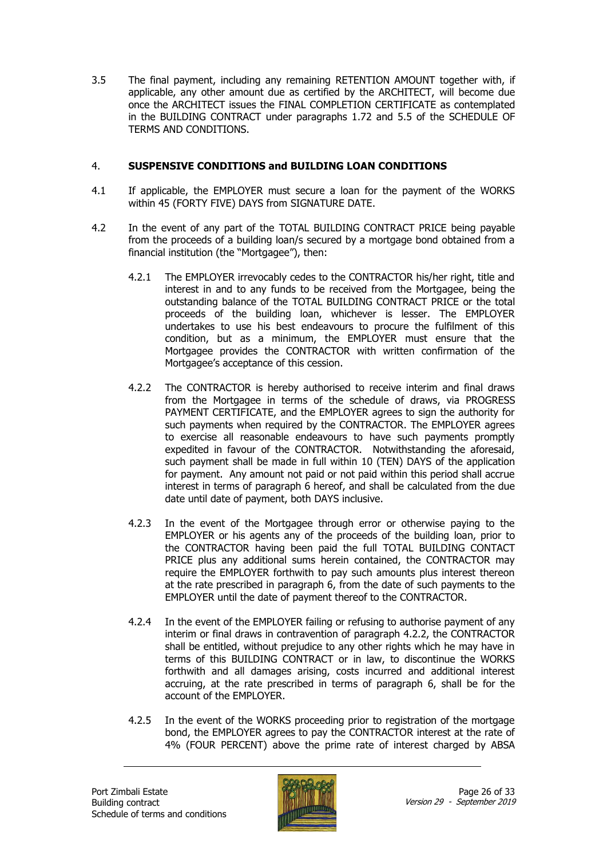3.5 The final payment, including any remaining RETENTION AMOUNT together with, if applicable, any other amount due as certified by the ARCHITECT, will become due once the ARCHITECT issues the FINAL COMPLETION CERTIFICATE as contemplated in the BUILDING CONTRACT under paragraphs 1.72 and 5.5 of the SCHEDULE OF TERMS AND CONDITIONS.

#### 4. **SUSPENSIVE CONDITIONS and BUILDING LOAN CONDITIONS**

- 4.1 If applicable, the EMPLOYER must secure a loan for the payment of the WORKS within 45 (FORTY FIVE) DAYS from SIGNATURE DATE.
- 4.2 In the event of any part of the TOTAL BUILDING CONTRACT PRICE being payable from the proceeds of a building loan/s secured by a mortgage bond obtained from a financial institution (the "Mortgagee"), then:
	- 4.2.1 The EMPLOYER irrevocably cedes to the CONTRACTOR his/her right, title and interest in and to any funds to be received from the Mortgagee, being the outstanding balance of the TOTAL BUILDING CONTRACT PRICE or the total proceeds of the building loan, whichever is lesser. The EMPLOYER undertakes to use his best endeavours to procure the fulfilment of this condition, but as a minimum, the EMPLOYER must ensure that the Mortgagee provides the CONTRACTOR with written confirmation of the Mortgagee's acceptance of this cession.
	- 4.2.2 The CONTRACTOR is hereby authorised to receive interim and final draws from the Mortgagee in terms of the schedule of draws, via PROGRESS PAYMENT CERTIFICATE, and the EMPLOYER agrees to sign the authority for such payments when required by the CONTRACTOR. The EMPLOYER agrees to exercise all reasonable endeavours to have such payments promptly expedited in favour of the CONTRACTOR. Notwithstanding the aforesaid, such payment shall be made in full within 10 (TEN) DAYS of the application for payment. Any amount not paid or not paid within this period shall accrue interest in terms of paragraph 6 hereof, and shall be calculated from the due date until date of payment, both DAYS inclusive.
	- 4.2.3 In the event of the Mortgagee through error or otherwise paying to the EMPLOYER or his agents any of the proceeds of the building loan, prior to the CONTRACTOR having been paid the full TOTAL BUILDING CONTACT PRICE plus any additional sums herein contained, the CONTRACTOR may require the EMPLOYER forthwith to pay such amounts plus interest thereon at the rate prescribed in paragraph 6, from the date of such payments to the EMPLOYER until the date of payment thereof to the CONTRACTOR.
	- 4.2.4 In the event of the EMPLOYER failing or refusing to authorise payment of any interim or final draws in contravention of paragraph 4.2.2, the CONTRACTOR shall be entitled, without prejudice to any other rights which he may have in terms of this BUILDING CONTRACT or in law, to discontinue the WORKS forthwith and all damages arising, costs incurred and additional interest accruing, at the rate prescribed in terms of paragraph 6, shall be for the account of the EMPLOYER.
	- 4.2.5 In the event of the WORKS proceeding prior to registration of the mortgage bond, the EMPLOYER agrees to pay the CONTRACTOR interest at the rate of 4% (FOUR PERCENT) above the prime rate of interest charged by ABSA

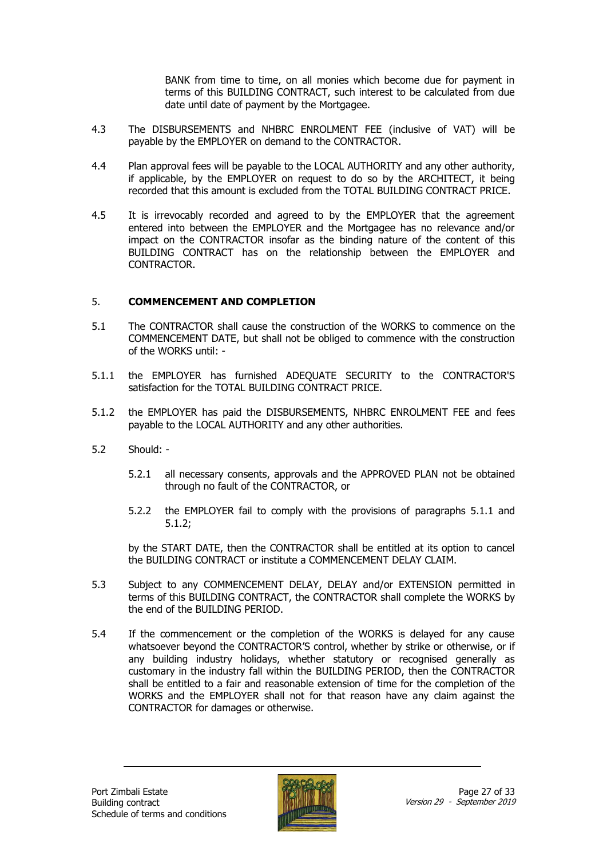BANK from time to time, on all monies which become due for payment in terms of this BUILDING CONTRACT, such interest to be calculated from due date until date of payment by the Mortgagee.

- 4.3 The DISBURSEMENTS and NHBRC ENROLMENT FEE (inclusive of VAT) will be payable by the EMPLOYER on demand to the CONTRACTOR.
- 4.4 Plan approval fees will be payable to the LOCAL AUTHORITY and any other authority, if applicable, by the EMPLOYER on request to do so by the ARCHITECT, it being recorded that this amount is excluded from the TOTAL BUILDING CONTRACT PRICE.
- 4.5 It is irrevocably recorded and agreed to by the EMPLOYER that the agreement entered into between the EMPLOYER and the Mortgagee has no relevance and/or impact on the CONTRACTOR insofar as the binding nature of the content of this BUILDING CONTRACT has on the relationship between the EMPLOYER and CONTRACTOR.

#### 5. **COMMENCEMENT AND COMPLETION**

- 5.1 The CONTRACTOR shall cause the construction of the WORKS to commence on the COMMENCEMENT DATE, but shall not be obliged to commence with the construction of the WORKS until: -
- 5.1.1 the EMPLOYER has furnished ADEQUATE SECURITY to the CONTRACTOR'S satisfaction for the TOTAL BUILDING CONTRACT PRICE.
- 5.1.2 the EMPLOYER has paid the DISBURSEMENTS, NHBRC ENROLMENT FEE and fees payable to the LOCAL AUTHORITY and any other authorities.
- 5.2 Should:
	- 5.2.1 all necessary consents, approvals and the APPROVED PLAN not be obtained through no fault of the CONTRACTOR, or
	- 5.2.2 the EMPLOYER fail to comply with the provisions of paragraphs 5.1.1 and 5.1.2;

by the START DATE, then the CONTRACTOR shall be entitled at its option to cancel the BUILDING CONTRACT or institute a COMMENCEMENT DELAY CLAIM.

- 5.3 Subject to any COMMENCEMENT DELAY, DELAY and/or EXTENSION permitted in terms of this BUILDING CONTRACT, the CONTRACTOR shall complete the WORKS by the end of the BUILDING PERIOD.
- 5.4 If the commencement or the completion of the WORKS is delayed for any cause whatsoever beyond the CONTRACTOR'S control, whether by strike or otherwise, or if any building industry holidays, whether statutory or recognised generally as customary in the industry fall within the BUILDING PERIOD, then the CONTRACTOR shall be entitled to a fair and reasonable extension of time for the completion of the WORKS and the EMPLOYER shall not for that reason have any claim against the CONTRACTOR for damages or otherwise.

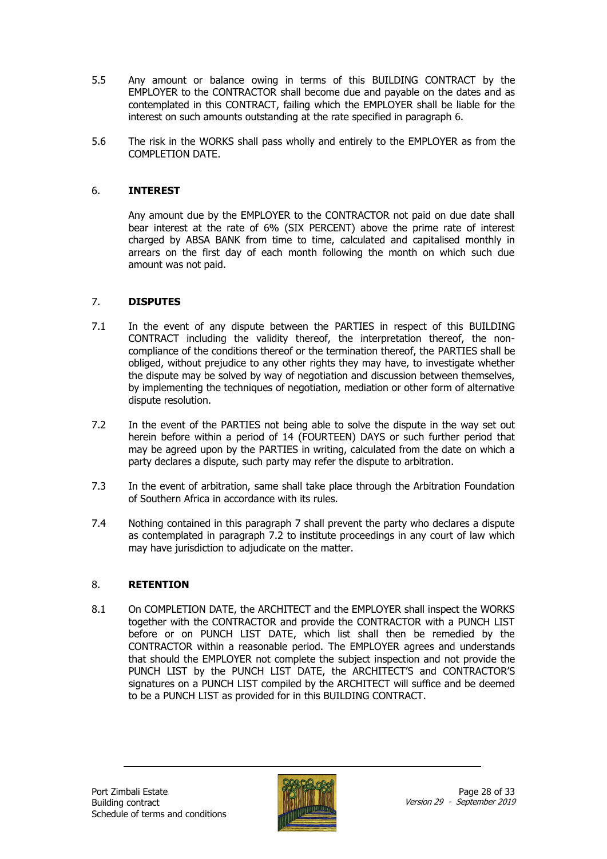- 5.5 Any amount or balance owing in terms of this BUILDING CONTRACT by the EMPLOYER to the CONTRACTOR shall become due and payable on the dates and as contemplated in this CONTRACT, failing which the EMPLOYER shall be liable for the interest on such amounts outstanding at the rate specified in paragraph 6.
- 5.6 The risk in the WORKS shall pass wholly and entirely to the EMPLOYER as from the COMPLETION DATE.

#### 6. **INTEREST**

Any amount due by the EMPLOYER to the CONTRACTOR not paid on due date shall bear interest at the rate of 6% (SIX PERCENT) above the prime rate of interest charged by ABSA BANK from time to time, calculated and capitalised monthly in arrears on the first day of each month following the month on which such due amount was not paid.

#### 7. **DISPUTES**

- 7.1 In the event of any dispute between the PARTIES in respect of this BUILDING CONTRACT including the validity thereof, the interpretation thereof, the noncompliance of the conditions thereof or the termination thereof, the PARTIES shall be obliged, without prejudice to any other rights they may have, to investigate whether the dispute may be solved by way of negotiation and discussion between themselves, by implementing the techniques of negotiation, mediation or other form of alternative dispute resolution.
- 7.2 In the event of the PARTIES not being able to solve the dispute in the way set out herein before within a period of 14 (FOURTEEN) DAYS or such further period that may be agreed upon by the PARTIES in writing, calculated from the date on which a party declares a dispute, such party may refer the dispute to arbitration.
- 7.3 In the event of arbitration, same shall take place through the Arbitration Foundation of Southern Africa in accordance with its rules.
- 7.4 Nothing contained in this paragraph 7 shall prevent the party who declares a dispute as contemplated in paragraph 7.2 to institute proceedings in any court of law which may have jurisdiction to adjudicate on the matter.

#### 8. **RETENTION**

8.1 On COMPLETION DATE, the ARCHITECT and the EMPLOYER shall inspect the WORKS together with the CONTRACTOR and provide the CONTRACTOR with a PUNCH LIST before or on PUNCH LIST DATE, which list shall then be remedied by the CONTRACTOR within a reasonable period. The EMPLOYER agrees and understands that should the EMPLOYER not complete the subject inspection and not provide the PUNCH LIST by the PUNCH LIST DATE, the ARCHITECT'S and CONTRACTOR'S signatures on a PUNCH LIST compiled by the ARCHITECT will suffice and be deemed to be a PUNCH LIST as provided for in this BUILDING CONTRACT.

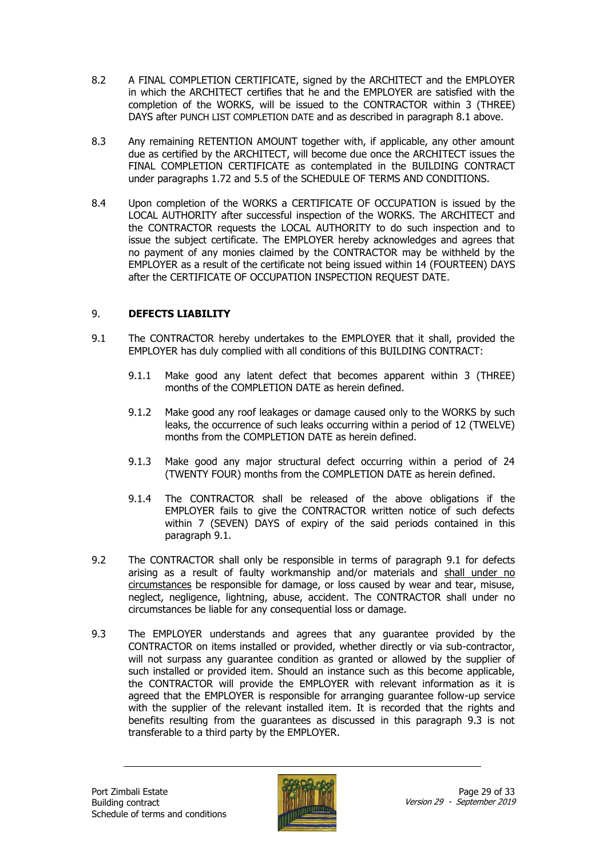- 8.2 A FINAL COMPLETION CERTIFICATE, signed by the ARCHITECT and the EMPLOYER in which the ARCHITECT certifies that he and the EMPLOYER are satisfied with the completion of the WORKS, will be issued to the CONTRACTOR within 3 (THREE) DAYS after PUNCH LIST COMPLETION DATE and as described in paragraph 8.1 above.
- 8.3 Any remaining RETENTION AMOUNT together with, if applicable, any other amount due as certified by the ARCHITECT, will become due once the ARCHITECT issues the FINAL COMPLETION CERTIFICATE as contemplated in the BUILDING CONTRACT under paragraphs 1.72 and 5.5 of the SCHEDULE OF TERMS AND CONDITIONS.
- 8.4 Upon completion of the WORKS a CERTIFICATE OF OCCUPATION is issued by the LOCAL AUTHORITY after successful inspection of the WORKS. The ARCHITECT and the CONTRACTOR requests the LOCAL AUTHORITY to do such inspection and to issue the subject certificate. The EMPLOYER hereby acknowledges and agrees that no payment of any monies claimed by the CONTRACTOR may be withheld by the EMPLOYER as a result of the certificate not being issued within 14 (FOURTEEN) DAYS after the CERTIFICATE OF OCCUPATION INSPECTION REQUEST DATE.

#### 9. **DEFECTS LIABILITY**

- 9.1 The CONTRACTOR hereby undertakes to the EMPLOYER that it shall, provided the EMPLOYER has duly complied with all conditions of this BUILDING CONTRACT:
	- 9.1.1 Make good any latent defect that becomes apparent within 3 (THREE) months of the COMPLETION DATE as herein defined.
	- 9.1.2 Make good any roof leakages or damage caused only to the WORKS by such leaks, the occurrence of such leaks occurring within a period of 12 (TWELVE) months from the COMPLETION DATE as herein defined.
	- 9.1.3 Make good any major structural defect occurring within a period of 24 (TWENTY FOUR) months from the COMPLETION DATE as herein defined.
	- 9.1.4 The CONTRACTOR shall be released of the above obligations if the EMPLOYER fails to give the CONTRACTOR written notice of such defects within 7 (SEVEN) DAYS of expiry of the said periods contained in this paragraph 9.1.
- 9.2 The CONTRACTOR shall only be responsible in terms of paragraph 9.1 for defects arising as a result of faulty workmanship and/or materials and shall under no circumstances be responsible for damage, or loss caused by wear and tear, misuse, neglect, negligence, lightning, abuse, accident. The CONTRACTOR shall under no circumstances be liable for any consequential loss or damage.
- 9.3 The EMPLOYER understands and agrees that any guarantee provided by the CONTRACTOR on items installed or provided, whether directly or via sub-contractor, will not surpass any guarantee condition as granted or allowed by the supplier of such installed or provided item. Should an instance such as this become applicable, the CONTRACTOR will provide the EMPLOYER with relevant information as it is agreed that the EMPLOYER is responsible for arranging guarantee follow-up service with the supplier of the relevant installed item. It is recorded that the rights and benefits resulting from the guarantees as discussed in this paragraph 9.3 is not transferable to a third party by the EMPLOYER.

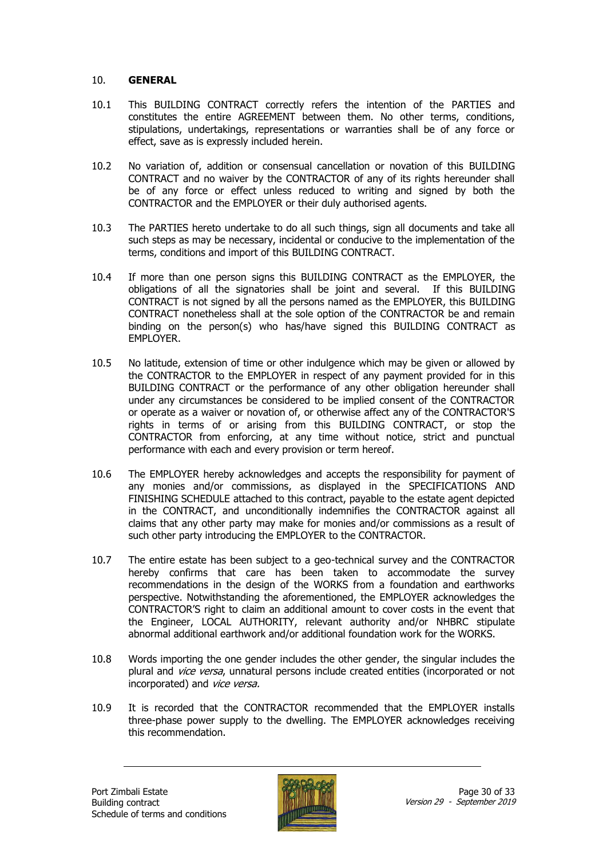#### 10. **GENERAL**

- 10.1 This BUILDING CONTRACT correctly refers the intention of the PARTIES and constitutes the entire AGREEMENT between them. No other terms, conditions, stipulations, undertakings, representations or warranties shall be of any force or effect, save as is expressly included herein.
- 10.2 No variation of, addition or consensual cancellation or novation of this BUILDING CONTRACT and no waiver by the CONTRACTOR of any of its rights hereunder shall be of any force or effect unless reduced to writing and signed by both the CONTRACTOR and the EMPLOYER or their duly authorised agents.
- 10.3 The PARTIES hereto undertake to do all such things, sign all documents and take all such steps as may be necessary, incidental or conducive to the implementation of the terms, conditions and import of this BUILDING CONTRACT.
- 10.4 If more than one person signs this BUILDING CONTRACT as the EMPLOYER, the obligations of all the signatories shall be joint and several. If this BUILDING CONTRACT is not signed by all the persons named as the EMPLOYER, this BUILDING CONTRACT nonetheless shall at the sole option of the CONTRACTOR be and remain binding on the person(s) who has/have signed this BUILDING CONTRACT as EMPLOYER.
- 10.5 No latitude, extension of time or other indulgence which may be given or allowed by the CONTRACTOR to the EMPLOYER in respect of any payment provided for in this BUILDING CONTRACT or the performance of any other obligation hereunder shall under any circumstances be considered to be implied consent of the CONTRACTOR or operate as a waiver or novation of, or otherwise affect any of the CONTRACTOR'S rights in terms of or arising from this BUILDING CONTRACT, or stop the CONTRACTOR from enforcing, at any time without notice, strict and punctual performance with each and every provision or term hereof.
- 10.6 The EMPLOYER hereby acknowledges and accepts the responsibility for payment of any monies and/or commissions, as displayed in the SPECIFICATIONS AND FINISHING SCHEDULE attached to this contract, payable to the estate agent depicted in the CONTRACT, and unconditionally indemnifies the CONTRACTOR against all claims that any other party may make for monies and/or commissions as a result of such other party introducing the EMPLOYER to the CONTRACTOR.
- 10.7 The entire estate has been subject to a geo-technical survey and the CONTRACTOR hereby confirms that care has been taken to accommodate the survey recommendations in the design of the WORKS from a foundation and earthworks perspective. Notwithstanding the aforementioned, the EMPLOYER acknowledges the CONTRACTOR'S right to claim an additional amount to cover costs in the event that the Engineer, LOCAL AUTHORITY, relevant authority and/or NHBRC stipulate abnormal additional earthwork and/or additional foundation work for the WORKS.
- 10.8 Words importing the one gender includes the other gender, the singular includes the plural and *vice versa*, unnatural persons include created entities (incorporated or not incorporated) and *vice versa.*
- 10.9 It is recorded that the CONTRACTOR recommended that the EMPLOYER installs three-phase power supply to the dwelling. The EMPLOYER acknowledges receiving this recommendation.

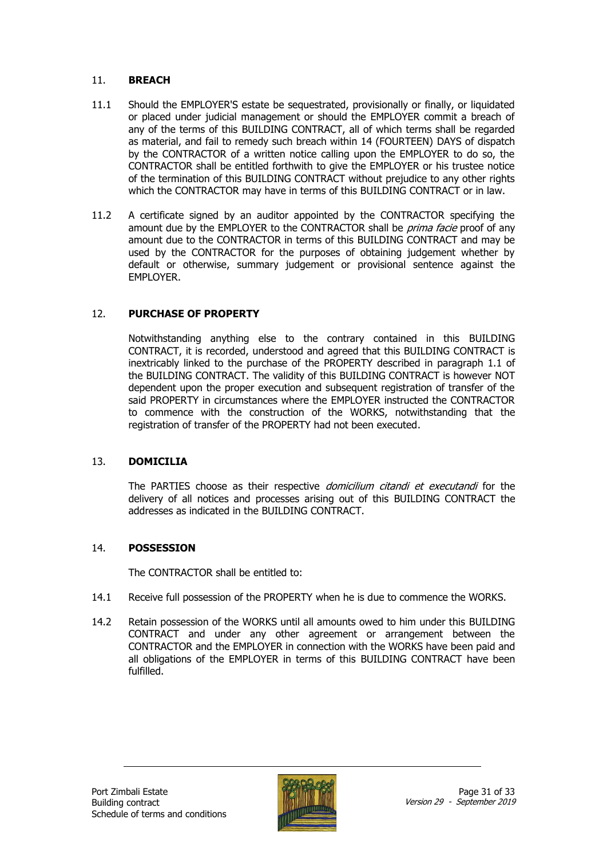#### 11. **BREACH**

- 11.1 Should the EMPLOYER'S estate be sequestrated, provisionally or finally, or liquidated or placed under judicial management or should the EMPLOYER commit a breach of any of the terms of this BUILDING CONTRACT, all of which terms shall be regarded as material, and fail to remedy such breach within 14 (FOURTEEN) DAYS of dispatch by the CONTRACTOR of a written notice calling upon the EMPLOYER to do so, the CONTRACTOR shall be entitled forthwith to give the EMPLOYER or his trustee notice of the termination of this BUILDING CONTRACT without prejudice to any other rights which the CONTRACTOR may have in terms of this BUILDING CONTRACT or in law.
- 11.2 A certificate signed by an auditor appointed by the CONTRACTOR specifying the amount due by the EMPLOYER to the CONTRACTOR shall be *prima facie* proof of any amount due to the CONTRACTOR in terms of this BUILDING CONTRACT and may be used by the CONTRACTOR for the purposes of obtaining judgement whether by default or otherwise, summary judgement or provisional sentence against the EMPLOYER.

#### 12. **PURCHASE OF PROPERTY**

Notwithstanding anything else to the contrary contained in this BUILDING CONTRACT, it is recorded, understood and agreed that this BUILDING CONTRACT is inextricably linked to the purchase of the PROPERTY described in paragraph 1.1 of the BUILDING CONTRACT. The validity of this BUILDING CONTRACT is however NOT dependent upon the proper execution and subsequent registration of transfer of the said PROPERTY in circumstances where the EMPLOYER instructed the CONTRACTOR to commence with the construction of the WORKS, notwithstanding that the registration of transfer of the PROPERTY had not been executed.

#### 13. **DOMICILIA**

The PARTIES choose as their respective *domicilium citandi et executandi* for the delivery of all notices and processes arising out of this BUILDING CONTRACT the addresses as indicated in the BUILDING CONTRACT.

#### 14. **POSSESSION**

The CONTRACTOR shall be entitled to:

- 14.1 Receive full possession of the PROPERTY when he is due to commence the WORKS.
- 14.2 Retain possession of the WORKS until all amounts owed to him under this BUILDING CONTRACT and under any other agreement or arrangement between the CONTRACTOR and the EMPLOYER in connection with the WORKS have been paid and all obligations of the EMPLOYER in terms of this BUILDING CONTRACT have been fulfilled.

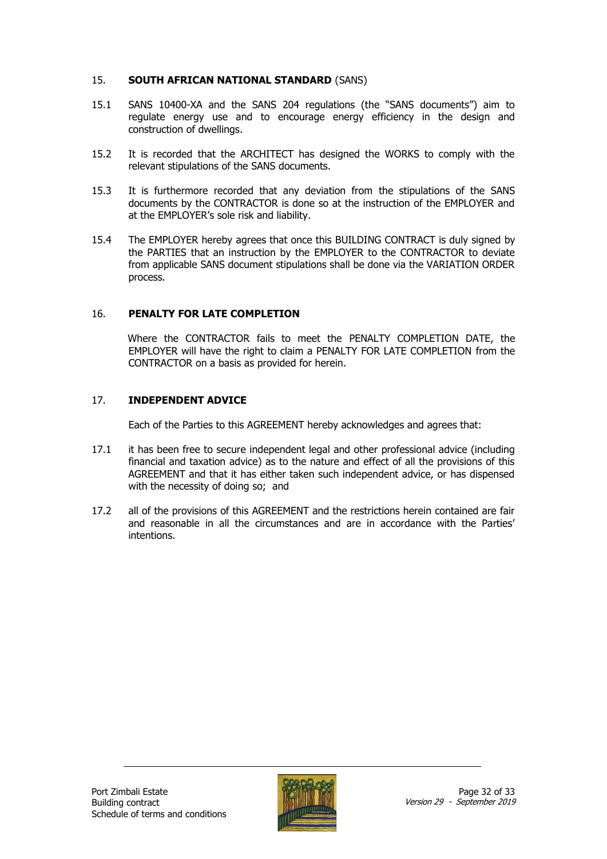#### 15. **SOUTH AFRICAN NATIONAL STANDARD** (SANS)

- 15.1 SANS 10400-XA and the SANS 204 regulations (the "SANS documents") aim to regulate energy use and to encourage energy efficiency in the design and construction of dwellings.
- 15.2 It is recorded that the ARCHITECT has designed the WORKS to comply with the relevant stipulations of the SANS documents.
- 15.3 It is furthermore recorded that any deviation from the stipulations of the SANS documents by the CONTRACTOR is done so at the instruction of the EMPLOYER and at the EMPLOYER's sole risk and liability.
- 15.4 The EMPLOYER hereby agrees that once this BUILDING CONTRACT is duly signed by the PARTIES that an instruction by the EMPLOYER to the CONTRACTOR to deviate from applicable SANS document stipulations shall be done via the VARIATION ORDER process.

#### 16. **PENALTY FOR LATE COMPLETION**

Where the CONTRACTOR fails to meet the PENALTY COMPLETION DATE, the EMPLOYER will have the right to claim a PENALTY FOR LATE COMPLETION from the CONTRACTOR on a basis as provided for herein.

#### 17. **INDEPENDENT ADVICE**

Each of the Parties to this AGREEMENT hereby acknowledges and agrees that:

- 17.1 it has been free to secure independent legal and other professional advice (including financial and taxation advice) as to the nature and effect of all the provisions of this AGREEMENT and that it has either taken such independent advice, or has dispensed with the necessity of doing so; and
- 17.2 all of the provisions of this AGREEMENT and the restrictions herein contained are fair and reasonable in all the circumstances and are in accordance with the Parties' intentions.